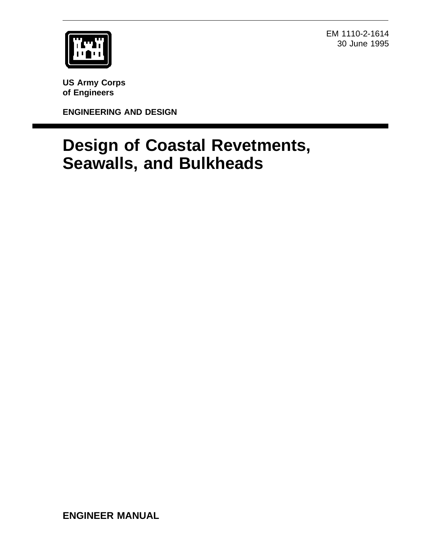EM 1110-2-1614 30 June 1995



**US Army Corps of Engineers**

**ENGINEERING AND DESIGN**

# **Design of Coastal Revetments, Seawalls, and Bulkheads**

**ENGINEER MANUAL**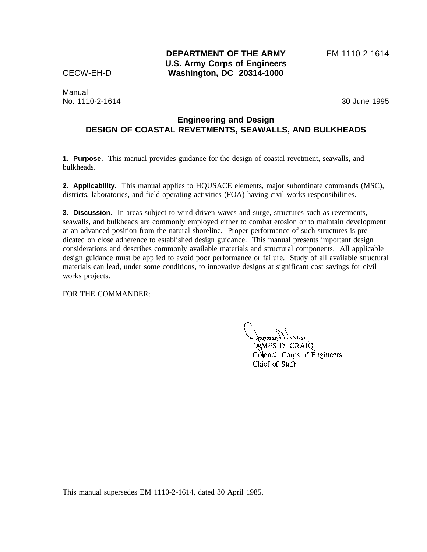Manual No. 1110-2-1614 30 June 1995

# **Engineering and Design DESIGN OF COASTAL REVETMENTS, SEAWALLS, AND BULKHEADS**

**1. Purpose.** This manual provides guidance for the design of coastal revetment, seawalls, and bulkheads.

**2. Applicability.** This manual applies to HQUSACE elements, major subordinate commands (MSC), districts, laboratories, and field operating activities (FOA) having civil works responsibilities.

**3. Discussion.** In areas subject to wind-driven waves and surge, structures such as revetments, seawalls, and bulkheads are commonly employed either to combat erosion or to maintain development at an advanced position from the natural shoreline. Proper performance of such structures is predicated on close adherence to established design guidance. This manual presents important design considerations and describes commonly available materials and structural components. All applicable design guidance must be applied to avoid poor performance or failure. Study of all available structural materials can lead, under some conditions, to innovative designs at significant cost savings for civil works projects.

FOR THE COMMANDER:

JAMES D. CRAIG Colonel, Corps of Engineers Chief of Staff

This manual supersedes EM 1110-2-1614, dated 30 April 1985.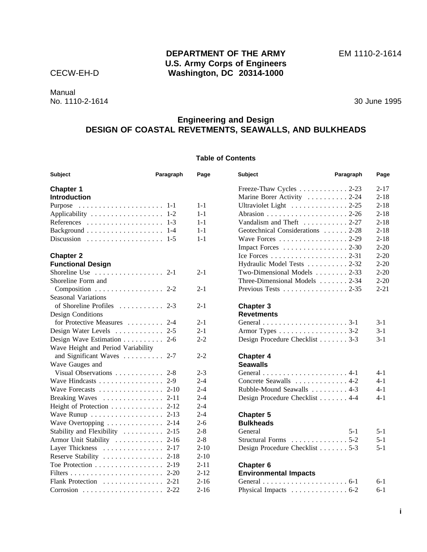Manual No. 1110-2-1614 30 June 1995

# **Engineering and Design DESIGN OF COASTAL REVETMENTS, SEAWALLS, AND BULKHEADS**

### **Table of Contents**

| <b>Subject</b>                                          | Paragraph | Page     | Subject<br>Paragraph             | Page     |
|---------------------------------------------------------|-----------|----------|----------------------------------|----------|
| <b>Chapter 1</b>                                        |           |          | Freeze-Thaw Cycles 2-23          | $2 - 17$ |
| <b>Introduction</b>                                     |           |          | Marine Borer Activity 2-24       | $2 - 18$ |
| Purpose                                                 |           | $1 - 1$  | Ultraviolet Light 2-25           | $2 - 18$ |
|                                                         |           | $1 - 1$  |                                  | $2 - 18$ |
| References 1-3                                          |           | $1 - 1$  | Vandalism and Theft  2-27        | $2 - 18$ |
| Background 1-4                                          |           | $1 - 1$  | Geotechnical Considerations 2-28 | $2 - 18$ |
| Discussion 1-5                                          |           | $1 - 1$  | Wave Forces 2-29                 | $2 - 18$ |
|                                                         |           |          | Impact Forces 2-30               | $2 - 20$ |
| <b>Chapter 2</b>                                        |           |          |                                  | $2 - 20$ |
| <b>Functional Design</b>                                |           |          | Hydraulic Model Tests  2-32      | $2 - 20$ |
| Shoreline Use $\dots \dots \dots \dots \dots \dots 2-1$ |           | $2 - 1$  | Two-Dimensional Models 2-33      | $2 - 20$ |
| Shoreline Form and                                      |           |          | Three-Dimensional Models 2-34    | $2 - 20$ |
| Composition 2-2                                         |           | $2 - 1$  | Previous Tests 2-35              | $2 - 21$ |
| <b>Seasonal Variations</b>                              |           |          |                                  |          |
| of Shoreline Profiles  2-3                              |           | $2 - 1$  | <b>Chapter 3</b>                 |          |
| Design Conditions                                       |           |          | <b>Revetments</b>                |          |
| for Protective Measures  2-4                            |           | $2 - 1$  |                                  | $3-1$    |
| Design Water Levels  2-5                                |           | $2 - 1$  | Armor Types 3-2                  | $3-1$    |
| Design Wave Estimation 2-6                              |           | $2 - 2$  | Design Procedure Checklist 3-3   | $3-1$    |
| Wave Height and Period Variability                      |           |          |                                  |          |
| and Significant Waves  2-7                              |           | $2 - 2$  | <b>Chapter 4</b>                 |          |
| Wave Gauges and                                         |           |          | <b>Seawalls</b>                  |          |
| Visual Observations $\dots \dots \dots \dots$ 2-8       |           | $2 - 3$  |                                  | 4-1      |
| Wave Hindcasts 2-9                                      |           | $2 - 4$  | Concrete Seawalls 4-2            | $4 - 1$  |
| Wave Forecasts 2-10                                     |           | $2 - 4$  | Rubble-Mound Seawalls 4-3        | $4 - 1$  |
| Breaking Waves  2-11                                    |           | $2 - 4$  | Design Procedure Checklist 4-4   | $4 - 1$  |
| Height of Protection $\ldots \ldots \ldots \ldots 2-12$ |           | $2 - 4$  |                                  |          |
| Wave Runup 2-13                                         |           | $2 - 4$  | <b>Chapter 5</b>                 |          |
| Wave Overtopping  2-14                                  |           | $2 - 6$  | <b>Bulkheads</b>                 |          |
| Stability and Flexibility  2-15                         |           | $2 - 8$  | General<br>$5 - 1$               | $5 - 1$  |
| Armor Unit Stability  2-16                              |           | $2 - 8$  | Structural Forms 5-2             | $5 - 1$  |
| Layer Thickness 2-17                                    |           | $2 - 10$ | Design Procedure Checklist 5-3   | $5 - 1$  |
| Reserve Stability  2-18                                 |           | $2 - 10$ |                                  |          |
| Toe Protection 2-19                                     |           | $2 - 11$ | <b>Chapter 6</b>                 |          |
|                                                         |           | $2 - 12$ | <b>Environmental Impacts</b>     |          |
| Flank Protection 2-21                                   |           | $2 - 16$ |                                  | $6-1$    |
|                                                         |           | $2 - 16$ | Physical Impacts 6-2             | $6-1$    |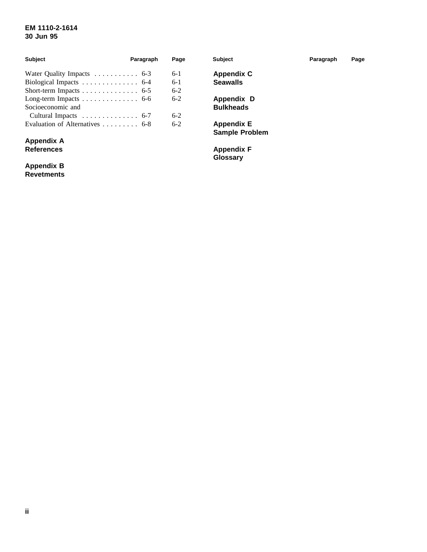# **EM 1110-2-1614 30 Jun 95**

| <b>Subject</b>                                         | Paragraph | Page  | <b>Subject</b>    | Paragraph | Page |
|--------------------------------------------------------|-----------|-------|-------------------|-----------|------|
| Water Quality Impacts $\dots \dots \dots \dots$ 6-3    |           | $6-1$ | <b>Appendix C</b> |           |      |
| Biological Impacts $\dots \dots \dots \dots \dots$ 6-4 |           | $6-1$ | <b>Seawalls</b>   |           |      |
| Short-term Impacts 6-5                                 |           | $6-2$ |                   |           |      |
| Long-term Impacts 6-6                                  |           | $6-2$ | Appendix D        |           |      |
| Socioeconomic and                                      |           |       | <b>Bulkheads</b>  |           |      |
| Cultural Impacts $\dots \dots \dots \dots \dots 6-7$   |           | $6-2$ |                   |           |      |
| Evaluation of Alternatives 6-8                         |           | $6-2$ | <b>Appendix E</b> |           |      |
|                                                        |           |       | Comple Deablam    |           |      |

**Appendix A References**

**Appendix B Revetments** **Sample Problem**

**Appendix F Glossary**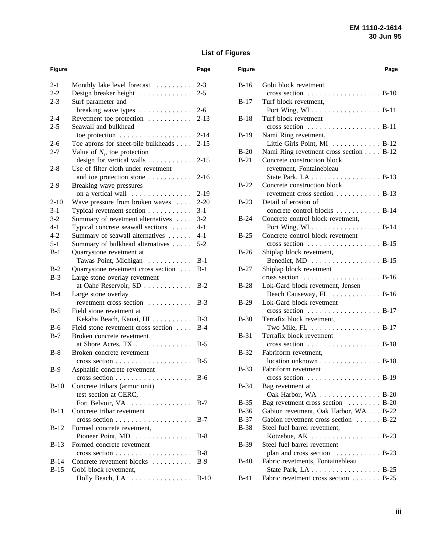# **List of Figures**

|                            | Page                                                                                                                                                                                                                                                                                                                                                                                                                                                                                    | <b>Figure</b>                                                                                                                                                                                                                                                                                                                                                                                                                                                                                                                                                                                                                                                                                                                                                                                                                                                                                                         |                                                                                                                                                                        | Page                                                                                                                                                                                                                                                                                                                                                                                                                                                                                                                                                                                                                                                                                                                                                                                                                                                                                                                                                                                                                                                                                                                                                                                                                                                                                               |
|----------------------------|-----------------------------------------------------------------------------------------------------------------------------------------------------------------------------------------------------------------------------------------------------------------------------------------------------------------------------------------------------------------------------------------------------------------------------------------------------------------------------------------|-----------------------------------------------------------------------------------------------------------------------------------------------------------------------------------------------------------------------------------------------------------------------------------------------------------------------------------------------------------------------------------------------------------------------------------------------------------------------------------------------------------------------------------------------------------------------------------------------------------------------------------------------------------------------------------------------------------------------------------------------------------------------------------------------------------------------------------------------------------------------------------------------------------------------|------------------------------------------------------------------------------------------------------------------------------------------------------------------------|----------------------------------------------------------------------------------------------------------------------------------------------------------------------------------------------------------------------------------------------------------------------------------------------------------------------------------------------------------------------------------------------------------------------------------------------------------------------------------------------------------------------------------------------------------------------------------------------------------------------------------------------------------------------------------------------------------------------------------------------------------------------------------------------------------------------------------------------------------------------------------------------------------------------------------------------------------------------------------------------------------------------------------------------------------------------------------------------------------------------------------------------------------------------------------------------------------------------------------------------------------------------------------------------------|
|                            |                                                                                                                                                                                                                                                                                                                                                                                                                                                                                         | $B-16$                                                                                                                                                                                                                                                                                                                                                                                                                                                                                                                                                                                                                                                                                                                                                                                                                                                                                                                | Gobi block revetment                                                                                                                                                   |                                                                                                                                                                                                                                                                                                                                                                                                                                                                                                                                                                                                                                                                                                                                                                                                                                                                                                                                                                                                                                                                                                                                                                                                                                                                                                    |
|                            | $2 - 5$                                                                                                                                                                                                                                                                                                                                                                                                                                                                                 |                                                                                                                                                                                                                                                                                                                                                                                                                                                                                                                                                                                                                                                                                                                                                                                                                                                                                                                       | cross section $\ldots \ldots \ldots \ldots \ldots$ . B-10                                                                                                              |                                                                                                                                                                                                                                                                                                                                                                                                                                                                                                                                                                                                                                                                                                                                                                                                                                                                                                                                                                                                                                                                                                                                                                                                                                                                                                    |
|                            |                                                                                                                                                                                                                                                                                                                                                                                                                                                                                         | $B-17$                                                                                                                                                                                                                                                                                                                                                                                                                                                                                                                                                                                                                                                                                                                                                                                                                                                                                                                | Turf block revetment,                                                                                                                                                  |                                                                                                                                                                                                                                                                                                                                                                                                                                                                                                                                                                                                                                                                                                                                                                                                                                                                                                                                                                                                                                                                                                                                                                                                                                                                                                    |
|                            |                                                                                                                                                                                                                                                                                                                                                                                                                                                                                         |                                                                                                                                                                                                                                                                                                                                                                                                                                                                                                                                                                                                                                                                                                                                                                                                                                                                                                                       |                                                                                                                                                                        |                                                                                                                                                                                                                                                                                                                                                                                                                                                                                                                                                                                                                                                                                                                                                                                                                                                                                                                                                                                                                                                                                                                                                                                                                                                                                                    |
|                            | $2 - 13$                                                                                                                                                                                                                                                                                                                                                                                                                                                                                |                                                                                                                                                                                                                                                                                                                                                                                                                                                                                                                                                                                                                                                                                                                                                                                                                                                                                                                       |                                                                                                                                                                        |                                                                                                                                                                                                                                                                                                                                                                                                                                                                                                                                                                                                                                                                                                                                                                                                                                                                                                                                                                                                                                                                                                                                                                                                                                                                                                    |
| Seawall and bulkhead       |                                                                                                                                                                                                                                                                                                                                                                                                                                                                                         |                                                                                                                                                                                                                                                                                                                                                                                                                                                                                                                                                                                                                                                                                                                                                                                                                                                                                                                       |                                                                                                                                                                        |                                                                                                                                                                                                                                                                                                                                                                                                                                                                                                                                                                                                                                                                                                                                                                                                                                                                                                                                                                                                                                                                                                                                                                                                                                                                                                    |
|                            |                                                                                                                                                                                                                                                                                                                                                                                                                                                                                         |                                                                                                                                                                                                                                                                                                                                                                                                                                                                                                                                                                                                                                                                                                                                                                                                                                                                                                                       |                                                                                                                                                                        |                                                                                                                                                                                                                                                                                                                                                                                                                                                                                                                                                                                                                                                                                                                                                                                                                                                                                                                                                                                                                                                                                                                                                                                                                                                                                                    |
|                            |                                                                                                                                                                                                                                                                                                                                                                                                                                                                                         |                                                                                                                                                                                                                                                                                                                                                                                                                                                                                                                                                                                                                                                                                                                                                                                                                                                                                                                       |                                                                                                                                                                        |                                                                                                                                                                                                                                                                                                                                                                                                                                                                                                                                                                                                                                                                                                                                                                                                                                                                                                                                                                                                                                                                                                                                                                                                                                                                                                    |
|                            |                                                                                                                                                                                                                                                                                                                                                                                                                                                                                         |                                                                                                                                                                                                                                                                                                                                                                                                                                                                                                                                                                                                                                                                                                                                                                                                                                                                                                                       |                                                                                                                                                                        |                                                                                                                                                                                                                                                                                                                                                                                                                                                                                                                                                                                                                                                                                                                                                                                                                                                                                                                                                                                                                                                                                                                                                                                                                                                                                                    |
|                            |                                                                                                                                                                                                                                                                                                                                                                                                                                                                                         |                                                                                                                                                                                                                                                                                                                                                                                                                                                                                                                                                                                                                                                                                                                                                                                                                                                                                                                       |                                                                                                                                                                        |                                                                                                                                                                                                                                                                                                                                                                                                                                                                                                                                                                                                                                                                                                                                                                                                                                                                                                                                                                                                                                                                                                                                                                                                                                                                                                    |
|                            |                                                                                                                                                                                                                                                                                                                                                                                                                                                                                         |                                                                                                                                                                                                                                                                                                                                                                                                                                                                                                                                                                                                                                                                                                                                                                                                                                                                                                                       |                                                                                                                                                                        |                                                                                                                                                                                                                                                                                                                                                                                                                                                                                                                                                                                                                                                                                                                                                                                                                                                                                                                                                                                                                                                                                                                                                                                                                                                                                                    |
|                            |                                                                                                                                                                                                                                                                                                                                                                                                                                                                                         |                                                                                                                                                                                                                                                                                                                                                                                                                                                                                                                                                                                                                                                                                                                                                                                                                                                                                                                       |                                                                                                                                                                        |                                                                                                                                                                                                                                                                                                                                                                                                                                                                                                                                                                                                                                                                                                                                                                                                                                                                                                                                                                                                                                                                                                                                                                                                                                                                                                    |
|                            |                                                                                                                                                                                                                                                                                                                                                                                                                                                                                         |                                                                                                                                                                                                                                                                                                                                                                                                                                                                                                                                                                                                                                                                                                                                                                                                                                                                                                                       |                                                                                                                                                                        |                                                                                                                                                                                                                                                                                                                                                                                                                                                                                                                                                                                                                                                                                                                                                                                                                                                                                                                                                                                                                                                                                                                                                                                                                                                                                                    |
|                            |                                                                                                                                                                                                                                                                                                                                                                                                                                                                                         |                                                                                                                                                                                                                                                                                                                                                                                                                                                                                                                                                                                                                                                                                                                                                                                                                                                                                                                       |                                                                                                                                                                        |                                                                                                                                                                                                                                                                                                                                                                                                                                                                                                                                                                                                                                                                                                                                                                                                                                                                                                                                                                                                                                                                                                                                                                                                                                                                                                    |
|                            |                                                                                                                                                                                                                                                                                                                                                                                                                                                                                         |                                                                                                                                                                                                                                                                                                                                                                                                                                                                                                                                                                                                                                                                                                                                                                                                                                                                                                                       |                                                                                                                                                                        |                                                                                                                                                                                                                                                                                                                                                                                                                                                                                                                                                                                                                                                                                                                                                                                                                                                                                                                                                                                                                                                                                                                                                                                                                                                                                                    |
|                            |                                                                                                                                                                                                                                                                                                                                                                                                                                                                                         |                                                                                                                                                                                                                                                                                                                                                                                                                                                                                                                                                                                                                                                                                                                                                                                                                                                                                                                       |                                                                                                                                                                        |                                                                                                                                                                                                                                                                                                                                                                                                                                                                                                                                                                                                                                                                                                                                                                                                                                                                                                                                                                                                                                                                                                                                                                                                                                                                                                    |
|                            |                                                                                                                                                                                                                                                                                                                                                                                                                                                                                         |                                                                                                                                                                                                                                                                                                                                                                                                                                                                                                                                                                                                                                                                                                                                                                                                                                                                                                                       |                                                                                                                                                                        |                                                                                                                                                                                                                                                                                                                                                                                                                                                                                                                                                                                                                                                                                                                                                                                                                                                                                                                                                                                                                                                                                                                                                                                                                                                                                                    |
|                            |                                                                                                                                                                                                                                                                                                                                                                                                                                                                                         |                                                                                                                                                                                                                                                                                                                                                                                                                                                                                                                                                                                                                                                                                                                                                                                                                                                                                                                       |                                                                                                                                                                        |                                                                                                                                                                                                                                                                                                                                                                                                                                                                                                                                                                                                                                                                                                                                                                                                                                                                                                                                                                                                                                                                                                                                                                                                                                                                                                    |
|                            |                                                                                                                                                                                                                                                                                                                                                                                                                                                                                         |                                                                                                                                                                                                                                                                                                                                                                                                                                                                                                                                                                                                                                                                                                                                                                                                                                                                                                                       |                                                                                                                                                                        |                                                                                                                                                                                                                                                                                                                                                                                                                                                                                                                                                                                                                                                                                                                                                                                                                                                                                                                                                                                                                                                                                                                                                                                                                                                                                                    |
|                            |                                                                                                                                                                                                                                                                                                                                                                                                                                                                                         |                                                                                                                                                                                                                                                                                                                                                                                                                                                                                                                                                                                                                                                                                                                                                                                                                                                                                                                       |                                                                                                                                                                        |                                                                                                                                                                                                                                                                                                                                                                                                                                                                                                                                                                                                                                                                                                                                                                                                                                                                                                                                                                                                                                                                                                                                                                                                                                                                                                    |
|                            |                                                                                                                                                                                                                                                                                                                                                                                                                                                                                         |                                                                                                                                                                                                                                                                                                                                                                                                                                                                                                                                                                                                                                                                                                                                                                                                                                                                                                                       |                                                                                                                                                                        |                                                                                                                                                                                                                                                                                                                                                                                                                                                                                                                                                                                                                                                                                                                                                                                                                                                                                                                                                                                                                                                                                                                                                                                                                                                                                                    |
|                            |                                                                                                                                                                                                                                                                                                                                                                                                                                                                                         |                                                                                                                                                                                                                                                                                                                                                                                                                                                                                                                                                                                                                                                                                                                                                                                                                                                                                                                       |                                                                                                                                                                        |                                                                                                                                                                                                                                                                                                                                                                                                                                                                                                                                                                                                                                                                                                                                                                                                                                                                                                                                                                                                                                                                                                                                                                                                                                                                                                    |
|                            |                                                                                                                                                                                                                                                                                                                                                                                                                                                                                         |                                                                                                                                                                                                                                                                                                                                                                                                                                                                                                                                                                                                                                                                                                                                                                                                                                                                                                                       |                                                                                                                                                                        |                                                                                                                                                                                                                                                                                                                                                                                                                                                                                                                                                                                                                                                                                                                                                                                                                                                                                                                                                                                                                                                                                                                                                                                                                                                                                                    |
|                            |                                                                                                                                                                                                                                                                                                                                                                                                                                                                                         |                                                                                                                                                                                                                                                                                                                                                                                                                                                                                                                                                                                                                                                                                                                                                                                                                                                                                                                       |                                                                                                                                                                        |                                                                                                                                                                                                                                                                                                                                                                                                                                                                                                                                                                                                                                                                                                                                                                                                                                                                                                                                                                                                                                                                                                                                                                                                                                                                                                    |
|                            |                                                                                                                                                                                                                                                                                                                                                                                                                                                                                         |                                                                                                                                                                                                                                                                                                                                                                                                                                                                                                                                                                                                                                                                                                                                                                                                                                                                                                                       |                                                                                                                                                                        |                                                                                                                                                                                                                                                                                                                                                                                                                                                                                                                                                                                                                                                                                                                                                                                                                                                                                                                                                                                                                                                                                                                                                                                                                                                                                                    |
|                            |                                                                                                                                                                                                                                                                                                                                                                                                                                                                                         |                                                                                                                                                                                                                                                                                                                                                                                                                                                                                                                                                                                                                                                                                                                                                                                                                                                                                                                       |                                                                                                                                                                        |                                                                                                                                                                                                                                                                                                                                                                                                                                                                                                                                                                                                                                                                                                                                                                                                                                                                                                                                                                                                                                                                                                                                                                                                                                                                                                    |
|                            |                                                                                                                                                                                                                                                                                                                                                                                                                                                                                         |                                                                                                                                                                                                                                                                                                                                                                                                                                                                                                                                                                                                                                                                                                                                                                                                                                                                                                                       |                                                                                                                                                                        |                                                                                                                                                                                                                                                                                                                                                                                                                                                                                                                                                                                                                                                                                                                                                                                                                                                                                                                                                                                                                                                                                                                                                                                                                                                                                                    |
|                            |                                                                                                                                                                                                                                                                                                                                                                                                                                                                                         |                                                                                                                                                                                                                                                                                                                                                                                                                                                                                                                                                                                                                                                                                                                                                                                                                                                                                                                       |                                                                                                                                                                        |                                                                                                                                                                                                                                                                                                                                                                                                                                                                                                                                                                                                                                                                                                                                                                                                                                                                                                                                                                                                                                                                                                                                                                                                                                                                                                    |
|                            |                                                                                                                                                                                                                                                                                                                                                                                                                                                                                         |                                                                                                                                                                                                                                                                                                                                                                                                                                                                                                                                                                                                                                                                                                                                                                                                                                                                                                                       |                                                                                                                                                                        |                                                                                                                                                                                                                                                                                                                                                                                                                                                                                                                                                                                                                                                                                                                                                                                                                                                                                                                                                                                                                                                                                                                                                                                                                                                                                                    |
|                            |                                                                                                                                                                                                                                                                                                                                                                                                                                                                                         |                                                                                                                                                                                                                                                                                                                                                                                                                                                                                                                                                                                                                                                                                                                                                                                                                                                                                                                       |                                                                                                                                                                        |                                                                                                                                                                                                                                                                                                                                                                                                                                                                                                                                                                                                                                                                                                                                                                                                                                                                                                                                                                                                                                                                                                                                                                                                                                                                                                    |
|                            |                                                                                                                                                                                                                                                                                                                                                                                                                                                                                         |                                                                                                                                                                                                                                                                                                                                                                                                                                                                                                                                                                                                                                                                                                                                                                                                                                                                                                                       |                                                                                                                                                                        |                                                                                                                                                                                                                                                                                                                                                                                                                                                                                                                                                                                                                                                                                                                                                                                                                                                                                                                                                                                                                                                                                                                                                                                                                                                                                                    |
|                            |                                                                                                                                                                                                                                                                                                                                                                                                                                                                                         |                                                                                                                                                                                                                                                                                                                                                                                                                                                                                                                                                                                                                                                                                                                                                                                                                                                                                                                       |                                                                                                                                                                        |                                                                                                                                                                                                                                                                                                                                                                                                                                                                                                                                                                                                                                                                                                                                                                                                                                                                                                                                                                                                                                                                                                                                                                                                                                                                                                    |
|                            |                                                                                                                                                                                                                                                                                                                                                                                                                                                                                         |                                                                                                                                                                                                                                                                                                                                                                                                                                                                                                                                                                                                                                                                                                                                                                                                                                                                                                                       |                                                                                                                                                                        |                                                                                                                                                                                                                                                                                                                                                                                                                                                                                                                                                                                                                                                                                                                                                                                                                                                                                                                                                                                                                                                                                                                                                                                                                                                                                                    |
|                            |                                                                                                                                                                                                                                                                                                                                                                                                                                                                                         |                                                                                                                                                                                                                                                                                                                                                                                                                                                                                                                                                                                                                                                                                                                                                                                                                                                                                                                       |                                                                                                                                                                        |                                                                                                                                                                                                                                                                                                                                                                                                                                                                                                                                                                                                                                                                                                                                                                                                                                                                                                                                                                                                                                                                                                                                                                                                                                                                                                    |
|                            |                                                                                                                                                                                                                                                                                                                                                                                                                                                                                         |                                                                                                                                                                                                                                                                                                                                                                                                                                                                                                                                                                                                                                                                                                                                                                                                                                                                                                                       |                                                                                                                                                                        |                                                                                                                                                                                                                                                                                                                                                                                                                                                                                                                                                                                                                                                                                                                                                                                                                                                                                                                                                                                                                                                                                                                                                                                                                                                                                                    |
|                            |                                                                                                                                                                                                                                                                                                                                                                                                                                                                                         |                                                                                                                                                                                                                                                                                                                                                                                                                                                                                                                                                                                                                                                                                                                                                                                                                                                                                                                       |                                                                                                                                                                        |                                                                                                                                                                                                                                                                                                                                                                                                                                                                                                                                                                                                                                                                                                                                                                                                                                                                                                                                                                                                                                                                                                                                                                                                                                                                                                    |
|                            |                                                                                                                                                                                                                                                                                                                                                                                                                                                                                         |                                                                                                                                                                                                                                                                                                                                                                                                                                                                                                                                                                                                                                                                                                                                                                                                                                                                                                                       |                                                                                                                                                                        |                                                                                                                                                                                                                                                                                                                                                                                                                                                                                                                                                                                                                                                                                                                                                                                                                                                                                                                                                                                                                                                                                                                                                                                                                                                                                                    |
|                            |                                                                                                                                                                                                                                                                                                                                                                                                                                                                                         |                                                                                                                                                                                                                                                                                                                                                                                                                                                                                                                                                                                                                                                                                                                                                                                                                                                                                                                       |                                                                                                                                                                        |                                                                                                                                                                                                                                                                                                                                                                                                                                                                                                                                                                                                                                                                                                                                                                                                                                                                                                                                                                                                                                                                                                                                                                                                                                                                                                    |
|                            |                                                                                                                                                                                                                                                                                                                                                                                                                                                                                         |                                                                                                                                                                                                                                                                                                                                                                                                                                                                                                                                                                                                                                                                                                                                                                                                                                                                                                                       |                                                                                                                                                                        |                                                                                                                                                                                                                                                                                                                                                                                                                                                                                                                                                                                                                                                                                                                                                                                                                                                                                                                                                                                                                                                                                                                                                                                                                                                                                                    |
|                            | $B-7$                                                                                                                                                                                                                                                                                                                                                                                                                                                                                   | $B-35$                                                                                                                                                                                                                                                                                                                                                                                                                                                                                                                                                                                                                                                                                                                                                                                                                                                                                                                |                                                                                                                                                                        |                                                                                                                                                                                                                                                                                                                                                                                                                                                                                                                                                                                                                                                                                                                                                                                                                                                                                                                                                                                                                                                                                                                                                                                                                                                                                                    |
| Concrete tribar revetment  |                                                                                                                                                                                                                                                                                                                                                                                                                                                                                         | $B-36$                                                                                                                                                                                                                                                                                                                                                                                                                                                                                                                                                                                                                                                                                                                                                                                                                                                                                                                |                                                                                                                                                                        |                                                                                                                                                                                                                                                                                                                                                                                                                                                                                                                                                                                                                                                                                                                                                                                                                                                                                                                                                                                                                                                                                                                                                                                                                                                                                                    |
|                            | $B-7$                                                                                                                                                                                                                                                                                                                                                                                                                                                                                   | $B-37$                                                                                                                                                                                                                                                                                                                                                                                                                                                                                                                                                                                                                                                                                                                                                                                                                                                                                                                | Gabion revetment cross section  B-22                                                                                                                                   |                                                                                                                                                                                                                                                                                                                                                                                                                                                                                                                                                                                                                                                                                                                                                                                                                                                                                                                                                                                                                                                                                                                                                                                                                                                                                                    |
| Formed concrete revetment, |                                                                                                                                                                                                                                                                                                                                                                                                                                                                                         | $B-38$                                                                                                                                                                                                                                                                                                                                                                                                                                                                                                                                                                                                                                                                                                                                                                                                                                                                                                                | Steel fuel barrel revetment,                                                                                                                                           |                                                                                                                                                                                                                                                                                                                                                                                                                                                                                                                                                                                                                                                                                                                                                                                                                                                                                                                                                                                                                                                                                                                                                                                                                                                                                                    |
|                            | $B-8$                                                                                                                                                                                                                                                                                                                                                                                                                                                                                   |                                                                                                                                                                                                                                                                                                                                                                                                                                                                                                                                                                                                                                                                                                                                                                                                                                                                                                                       | Kotzebue, AK $\dots \dots \dots \dots \dots \dots$ B-23                                                                                                                |                                                                                                                                                                                                                                                                                                                                                                                                                                                                                                                                                                                                                                                                                                                                                                                                                                                                                                                                                                                                                                                                                                                                                                                                                                                                                                    |
| Formed concrete revetment  |                                                                                                                                                                                                                                                                                                                                                                                                                                                                                         | $B-39$                                                                                                                                                                                                                                                                                                                                                                                                                                                                                                                                                                                                                                                                                                                                                                                                                                                                                                                | Steel fuel barrel revetment                                                                                                                                            |                                                                                                                                                                                                                                                                                                                                                                                                                                                                                                                                                                                                                                                                                                                                                                                                                                                                                                                                                                                                                                                                                                                                                                                                                                                                                                    |
|                            | $B-8$                                                                                                                                                                                                                                                                                                                                                                                                                                                                                   |                                                                                                                                                                                                                                                                                                                                                                                                                                                                                                                                                                                                                                                                                                                                                                                                                                                                                                                       | plan and cross section $\dots \dots \dots$ B-23                                                                                                                        |                                                                                                                                                                                                                                                                                                                                                                                                                                                                                                                                                                                                                                                                                                                                                                                                                                                                                                                                                                                                                                                                                                                                                                                                                                                                                                    |
| Concrete revetment blocks  | $B-9$                                                                                                                                                                                                                                                                                                                                                                                                                                                                                   | $B-40$                                                                                                                                                                                                                                                                                                                                                                                                                                                                                                                                                                                                                                                                                                                                                                                                                                                                                                                | Fabric revetments, Fontainebleau                                                                                                                                       |                                                                                                                                                                                                                                                                                                                                                                                                                                                                                                                                                                                                                                                                                                                                                                                                                                                                                                                                                                                                                                                                                                                                                                                                                                                                                                    |
| Gobi block revetment,      |                                                                                                                                                                                                                                                                                                                                                                                                                                                                                         |                                                                                                                                                                                                                                                                                                                                                                                                                                                                                                                                                                                                                                                                                                                                                                                                                                                                                                                       | State Park, $LA$ B-25                                                                                                                                                  |                                                                                                                                                                                                                                                                                                                                                                                                                                                                                                                                                                                                                                                                                                                                                                                                                                                                                                                                                                                                                                                                                                                                                                                                                                                                                                    |
|                            | $B-10$                                                                                                                                                                                                                                                                                                                                                                                                                                                                                  | $B-41$                                                                                                                                                                                                                                                                                                                                                                                                                                                                                                                                                                                                                                                                                                                                                                                                                                                                                                                | Fabric revetment cross section B-25                                                                                                                                    |                                                                                                                                                                                                                                                                                                                                                                                                                                                                                                                                                                                                                                                                                                                                                                                                                                                                                                                                                                                                                                                                                                                                                                                                                                                                                                    |
|                            | Surf parameter and<br>Value of $N_s$ , toe protection<br>Use of filter cloth under revetment<br>Breaking wave pressures<br>Typical concrete seawall sections<br>Summary of seawall alternatives<br>Quarrystone revetment at<br>Large stone overlay revetment<br>Large stone overlay<br>Field stone revetment at<br>Broken concrete revetment<br>Broken concrete revetment<br>Asphaltic concrete revetment<br>Concrete tribars (armor unit)<br>test section at CERC,<br>Fort Belvoir, VA | Monthly lake level forecast $\dots \dots \dots$ 2-3<br>Design breaker height $\dots \dots \dots$<br>breaking wave types $\dots \dots \dots \dots$ 2-6<br>Revetment toe protection<br>toe protection $\ldots \ldots \ldots \ldots \ldots 2$ -14<br>Toe aprons for sheet-pile bulkheads<br>$2 - 15$<br>design for vertical walls $\dots \dots \dots$<br>$2 - 15$<br>and toe protection stone $\ldots \ldots \ldots$ 2-16<br>on a vertical wall<br>$2 - 19$<br>Wave pressure from broken waves  2-20<br>Typical revetment section<br>$3-1$<br>Summary of revetment alternatives<br>$3-2$<br>$4-1$<br>$4-1$<br>Summary of bulkhead alternatives<br>$5-2$<br>Tawas Point, Michigan B-1<br>Quarrystone revetment cross section B-1<br>at Oahe Reservoir, SD B-2<br>revetment cross section  B-3<br>Kekaha Beach, Kauai, HI B-3<br>Field stone revetment cross section  B-4<br>at Shore Acres, $TX$ B-5<br>Holly Beach, $LA$ | $B-18$<br>$B-19$<br>$B-20$<br>$B-21$<br>$B-22$<br>$B-23$<br>$B-24$<br>$B-25$<br>$B-26$<br>$B-27$<br>$B-28$<br>$B-29$<br>$B-30$<br>$B-31$<br>$B-32$<br>$B-33$<br>$B-34$ | Port Wing, WI B-11<br>Turf block revetment<br>cross section B-11<br>Nami Ring revetment,<br>Little Girls Point, MI $\ldots \ldots \ldots \ldots$ B-12<br>Nami Ring revetment cross section B-12<br>Concrete construction block<br>revetment, Fontainebleau<br>State Park, $LA$ B-13<br>Concrete construction block<br>revetment cross section $\dots \dots \dots$ . B-13<br>Detail of erosion of<br>concrete control blocks B-14<br>Concrete control block revetment,<br>Port Wing, WI B-14<br>Concrete control block revetment<br>cross section $\ldots \ldots \ldots \ldots \ldots$ . B-15<br>Shiplap block revetment,<br>Benedict, MD $\dots \dots \dots \dots \dots \dots$ B-15<br>Shiplap block revetment<br>cross section $\ldots \ldots \ldots \ldots \ldots$ . B-16<br>Lok-Gard block revetment, Jensen<br>Beach Causeway, FL B-16<br>Lok-Gard block revetment<br>cross section  B-17<br>Terrafix block revetment,<br>Two Mile, FL $\dots \dots \dots \dots \dots$ . B-17<br>Terrafix block revetment<br>cross section  B-18<br>Fabriform revetment,<br>location unknown B-18<br>Fabriform revetment<br>cross section $\ldots \ldots \ldots \ldots \ldots$ . B-19<br>Bag revetment at<br>Oak Harbor, WA B-20<br>Bag revetment cross section  B-20<br>Gabion revetment, Oak Harbor, WA B-22 |

| $B-16$ | Gobi block revetment                                            |  |
|--------|-----------------------------------------------------------------|--|
|        | cross section  B-10                                             |  |
| $B-17$ | Turf block revetment,                                           |  |
|        | Port Wing, WI B-11                                              |  |
| $B-18$ | Turf block revetment                                            |  |
|        | cross section  B-11                                             |  |
| $B-19$ | Nami Ring revetment,                                            |  |
|        | Little Girls Point, MI B-12                                     |  |
| $B-20$ | Nami Ring revetment cross section B-12                          |  |
| $B-21$ | Concrete construction block                                     |  |
|        | revetment, Fontainebleau<br>State Park, LA B-13                 |  |
| $B-22$ | Concrete construction block                                     |  |
|        | revetment cross section B-13                                    |  |
| $B-23$ | Detail of erosion of                                            |  |
|        | concrete control blocks B-14                                    |  |
| $B-24$ | Concrete control block revetment,                               |  |
|        | Port Wing, WI B-14                                              |  |
| $B-25$ | Concrete control block revetment                                |  |
|        | cross section  B-15                                             |  |
| $B-26$ | Shiplap block revetment,                                        |  |
|        | Benedict, MD B-15                                               |  |
| $B-27$ | Shiplap block revetment                                         |  |
|        | cross section  B-16                                             |  |
| $B-28$ | Lok-Gard block revetment, Jensen                                |  |
|        | Beach Causeway, FL B-16                                         |  |
| $B-29$ | Lok-Gard block revetment                                        |  |
|        | cross section  B-17                                             |  |
| $B-30$ | Terrafix block revetment,                                       |  |
|        | Two Mile, FL B-17                                               |  |
| $B-31$ | Terrafix block revetment                                        |  |
|        | cross section  B-18                                             |  |
| $B-32$ | Fabriform revetment,                                            |  |
|        | location unknown B-18                                           |  |
| $B-33$ | Fabriform revetment                                             |  |
|        | cross section B-19                                              |  |
| $B-34$ | Bag revetment at                                                |  |
|        | Oak Harbor, WA B-20                                             |  |
| $B-35$ | Bag revetment cross section  B-20                               |  |
| $B-36$ | Gabion revetment, Oak Harbor, WA B-22                           |  |
| $B-37$ | Gabion revetment cross section  B-22                            |  |
| $B-38$ | Steel fuel barrel revetment,                                    |  |
|        | Kotzebue, AK B-23<br>Steel fuel barrel revetment                |  |
| $B-39$ | plan and cross section                                          |  |
| $B-40$ | $\ldots \ldots \ldots B-23$<br>Fabric revetments, Fontainebleau |  |
|        | State Park, LA B-25                                             |  |
| $B-41$ | Fabric revetment cross section B-25                             |  |
|        |                                                                 |  |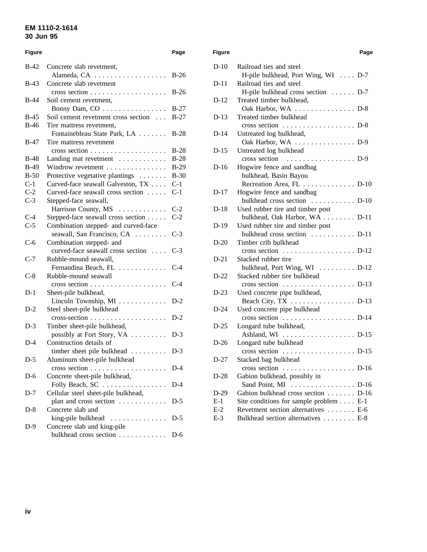| $B-42$ | Concrete slab revetment,                                      | $B-26$ |
|--------|---------------------------------------------------------------|--------|
| $B-43$ | Concrete slab revetment                                       |        |
|        |                                                               | $B-26$ |
| $B-44$ | Soil cement revetment,                                        |        |
|        | Bonny Dam, CO                                                 | $B-27$ |
| $B-45$ | Soil cement revetment cross section                           | $B-27$ |
| $B-46$ | Tire mattress revetment,<br>Fontainebleau State Park, LA      | $B-28$ |
| $B-47$ | Tire mattress revetment                                       |        |
|        |                                                               | $B-28$ |
| $B-48$ | Landing mat revetment                                         | $B-28$ |
| $B-49$ | Windrow revetment                                             | $B-29$ |
| $B-50$ | Protective vegetative plantings                               | $B-30$ |
| $C-1$  | Curved-face seawall Galveston, TX                             | $C-1$  |
| $C-2$  | Curved-face seawall cross section                             | $C-1$  |
| $C-3$  | Stepped-face seawall,                                         |        |
|        | Harrison County, MS                                           | $C-2$  |
| $C-4$  | Stepped-face seawall cross section                            | $C-2$  |
| $C-5$  | Combination stepped- and curved-face                          |        |
|        | seawall, San Francisco, CA                                    | $C-3$  |
| $C-6$  | Combination stepped- and                                      |        |
|        | curved-face seawall cross section                             | C-3    |
| $C-7$  | Rubble-mound seawall,                                         |        |
|        | Fernandina Beach, FL                                          | $C-4$  |
| C-8    | Rubble-mound seawall                                          |        |
|        |                                                               | $C-4$  |
| $D-1$  | Sheet-pile bulkhead,                                          |        |
|        | Lincoln Township, MI                                          | $D-2$  |
| $D-2$  | Steel sheet-pile bulkhead                                     | $D-2$  |
| $D-3$  | Timber sheet-pile bulkhead,                                   |        |
|        | possibly at Fort Story, VA                                    | $D-3$  |
| $D-4$  | Construction details of                                       |        |
|        | timber sheet pile bulkhead                                    | $D-3$  |
| $D-5$  | Aluminum sheet-pile bulkhead                                  |        |
|        | cross section<br>.                                            | $D-4$  |
| $D-6$  | Concrete sheet-pile bulkhead,                                 |        |
|        | Folly Beach, SC                                               | $D-4$  |
| $D-7$  | Cellular steel sheet-pile bulkhead,<br>plan and cross section | $D-5$  |
|        | Concrete slab and                                             |        |
| $D-8$  |                                                               | $D-5$  |
|        | king-pile bulkhead<br>.                                       |        |
| $D-9$  | Concrete slab and king-pile                                   |        |
|        | bulkhead cross section                                        | $D-6$  |

| Figure      |                                                               | Page  | <b>Figure</b> |                                                          | Page |
|-------------|---------------------------------------------------------------|-------|---------------|----------------------------------------------------------|------|
| $B-42$      | Concrete slab revetment,                                      |       | $D-10$        | Railroad ties and steel                                  |      |
|             | Alameda, CA B-26                                              |       |               | H-pile bulkhead, Port Wing, WI D-7                       |      |
| $B-43$      | Concrete slab revetment                                       |       | $D-11$        | Railroad ties and steel                                  |      |
|             | cross section B-26                                            |       |               | H-pile bulkhead cross section  D-7                       |      |
| $B-44$      | Soil cement revetment,                                        |       | $D-12$        | Treated timber bulkhead,                                 |      |
|             | Bonny Dam, CO B-27                                            |       |               | Oak Harbor, WA D-8                                       |      |
| $B-45$      | Soil cement revetment cross section  B-27                     |       | $D-13$        | Treated timber bulkhead                                  |      |
| <b>B-46</b> | Tire mattress revetment,                                      |       |               | cross section  D-8                                       |      |
|             | Fontainebleau State Park, LA  B-28                            |       | $D-14$        | Untreated log bulkhead,                                  |      |
| $B-47$      | Tire mattress revetment                                       |       |               | Oak Harbor, WA D-9                                       |      |
|             |                                                               |       | $D-15$        | Untreated log bulkhead                                   |      |
| $B-48$      | Landing mat revetment  B-28                                   |       |               | cross section  D-9                                       |      |
| B-49        | Windrow revetment $\dots \dots \dots \dots$ B-29              |       | $D-16$        | Hogwire fence and sandbag                                |      |
| <b>B-50</b> | Protective vegetative plantings B-30                          |       |               | bulkhead, Basin Bayou                                    |      |
| C-1         | Curved-face seawall Galveston, TX C-1                         |       |               | Recreation Area, FL D-10                                 |      |
| $C-2$       | Curved-face seawall cross section  C-1                        |       | $D-17$        | Hogwire fence and sandbag                                |      |
| $C-3$       | Stepped-face seawall,                                         |       |               | bulkhead cross section  D-10                             |      |
|             |                                                               |       | $D-18$        | Used rubber tire and timber post                         |      |
| $C-4$       | Stepped-face seawall cross section C-2                        |       |               | bulkhead, Oak Harbor, WA D-11                            |      |
| $C-5$       | Combination stepped- and curved-face                          |       | $D-19$        | Used rubber tire and timber post                         |      |
|             | seawall, San Francisco, CA                                    | $C-3$ |               | bulkhead cross section  D-11                             |      |
| $C-6$       | Combination stepped- and                                      |       | $D-20$        | Timber crib bulkhead                                     |      |
|             | curved-face seawall cross section                             | $C-3$ |               | cross section $\dots \dots \dots \dots \dots \dots$ D-12 |      |
| $C-7$       | Rubble-mound seawall,                                         |       | $D-21$        | Stacked rubber tire                                      |      |
|             | Fernandina Beach, FL                                          | $C-4$ |               | bulkhead, Port Wing, WI D-12                             |      |
| $C-8$       | Rubble-mound seawall                                          |       | $D-22$        | Stacked rubber tire bulkhead                             |      |
|             |                                                               |       |               | cross section  D-13                                      |      |
| $D-1$       | Sheet-pile bulkhead,                                          |       | $D-23$        | Used concrete pipe bulkhead,                             |      |
|             | Lincoln Township, MI D-2                                      |       | $D-24$        | Beach City, TX D-13                                      |      |
| $D-2$       | Steel sheet-pile bulkhead                                     |       |               | Used concrete pipe bulkhead<br>cross section  D-14       |      |
| $D-3$       |                                                               |       | $D-25$        |                                                          |      |
|             | Timber sheet-pile bulkhead,<br>possibly at Fort Story, VA D-3 |       |               | Longard tube bulkhead,                                   |      |
| $D-4$       | Construction details of                                       |       | $D-26$        | Longard tube bulkhead                                    |      |
|             | timber sheet pile bulkhead D-3                                |       |               | cross section  D-15                                      |      |
| $D-5$       | Aluminum sheet-pile bulkhead                                  |       | $D-27$        | Stacked bag bulkhead                                     |      |
|             |                                                               | $D-4$ |               | cross section $\ldots \ldots \ldots \ldots \ldots$ D-16  |      |
| D-6         | Concrete sheet-pile bulkhead,                                 |       | $D-28$        | Gabion bulkhead, possibly in                             |      |
|             | Folly Beach, SC                                               | $D-4$ |               | Sand Point, MI D-16                                      |      |
| D-7         | Cellular steel sheet-pile bulkhead,                           |       | $D-29$        | Gabion bulkhead cross section D-16                       |      |
|             | plan and cross section $\dots \dots \dots$                    | $D-5$ | $E-1$         | Site conditions for sample problem $\dots$ E-1           |      |
| D-8         | Concrete slab and                                             |       | $E-2$         | Revetment section alternatives E-6                       |      |
|             | king-pile bulkhead $\dots \dots \dots \dots$ D-5              |       | $E-3$         | Bulkhead section alternatives E-8                        |      |
| D-9         | Concrete slab and king-pile                                   |       |               |                                                          |      |
|             |                                                               |       |               |                                                          |      |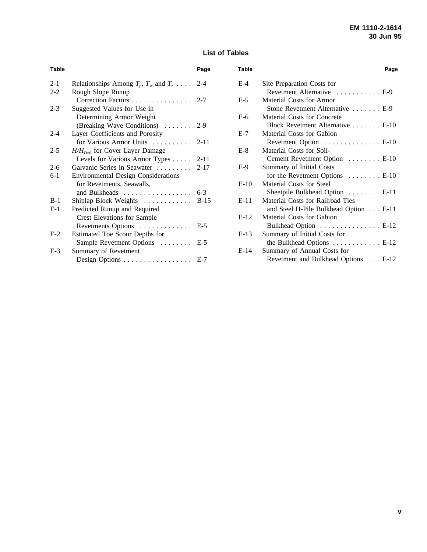# **List of Tables**

| <b>Table</b> |                                                        | Page | <b>Table</b> |                                                     | Page |
|--------------|--------------------------------------------------------|------|--------------|-----------------------------------------------------|------|
| $2 - 1$      | Relationships Among $T_p$ , $T_s$ , and $T_z$ 2-4      |      | E-4          | Site Preparation Costs for                          |      |
| $2 - 2$      | Rough Slope Runup                                      |      |              | Revetment Alternative  E-9                          |      |
|              | Correction Factors 2-7                                 |      | $E-5$        | Material Costs for Armor                            |      |
| $2 - 3$      | Suggested Values for Use in                            |      |              | Stone Revetment Alternative  E-9                    |      |
|              | Determining Armor Weight                               |      | E-6          | Material Costs for Concrete                         |      |
|              | (Breaking Wave Conditions)  2-9                        |      |              | Block Revetment Alternative E-10                    |      |
| $2 - 4$      | Layer Coefficients and Porosity                        |      | $E-7$        | Material Costs for Gabion                           |      |
|              | for Various Armor Units $\ldots \ldots \ldots$ 2-11    |      |              | Revetment Option $\dots \dots \dots \dots$ . E-10   |      |
| $2 - 5$      | $H/H_{D=0}$ for Cover Layer Damage                     |      | $E-8$        | Material Costs for Soil-                            |      |
|              | Levels for Various Armor Types 2-11                    |      |              | Cement Revetment Option E-10                        |      |
| $2 - 6$      | Galvanic Series in Seawater  2-17                      |      | $E-9$        | Summary of Initial Costs                            |      |
| $6 - 1$      | <b>Environmental Design Considerations</b>             |      |              | for the Revetment Options E-10                      |      |
|              | for Revetments, Seawalls,                              |      | $E-10$       | Material Costs for Steel                            |      |
|              | and Bulkheads $\ldots \ldots \ldots \ldots \ldots 6-3$ |      |              | Sheetpile Bulkhead Option  E-11                     |      |
| $B-1$        | Shiplap Block Weights  B-15                            |      | $E-11$       | Material Costs for Railroad Ties                    |      |
| $E-1$        | Predicted Runup and Required                           |      |              | and Steel H-Pile Bulkhead Option E-11               |      |
|              | <b>Crest Elevations for Sample</b>                     |      | $E-12$       | Material Costs for Gabion                           |      |
|              | Revetments Options  E-5                                |      |              | Bulkhead Option E-12                                |      |
| $E-2$        | Estimated Toe Scour Depths for                         |      | $E-13$       | Summary of Initial Costs for                        |      |
|              | Sample Revetment Options  E-5                          |      |              | the Bulkhead Options $\dots \dots \dots \dots$ E-12 |      |
| $E-3$        | Summary of Revetment                                   |      | $E-14$       | Summary of Annual Costs for                         |      |
|              | Design Options $\dots \dots \dots \dots \dots$ E-7     |      |              | Revetment and Bulkhead Options E-12                 |      |

| <b>Table</b> |                                       | Page |
|--------------|---------------------------------------|------|
| $E-4$        | Site Preparation Costs for            |      |
|              | Revetment Alternative  E-9            |      |
| $E-5$        | Material Costs for Armor              |      |
|              | Stone Revetment Alternative  E-9      |      |
| $E-6$        | <b>Material Costs for Concrete</b>    |      |
|              | Block Revetment Alternative E-10      |      |
| $E-7$        | Material Costs for Gabion             |      |
|              | Revetment Option E-10                 |      |
| $E-8$        | Material Costs for Soil-              |      |
|              | Cement Revetment Option E-10          |      |
| $E-9$        | Summary of Initial Costs              |      |
|              | for the Revetment Options  E-10       |      |
| $E-10$       | Material Costs for Steel              |      |
|              | Sheetpile Bulkhead Option E-11        |      |
| $E-11$       | Material Costs for Railroad Ties      |      |
|              | and Steel H-Pile Bulkhead Option E-11 |      |
| $E-12$       | Material Costs for Gabion             |      |
|              | Bulkhead Option  E-12                 |      |
| $E-13$       | Summary of Initial Costs for          |      |
|              | the Bulkhead Options E-12             |      |
| $E-14$       | Summary of Annual Costs for           |      |
|              | Revetment and Bulkhead Options  E-12  |      |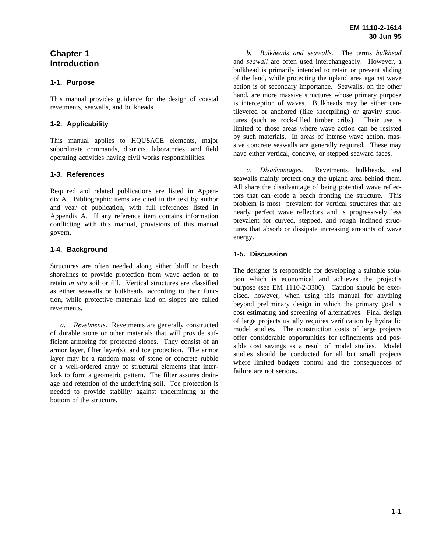# **Chapter 1 Introduction**

#### **1-1. Purpose**

This manual provides guidance for the design of coastal revetments, seawalls, and bulkheads.

#### **1-2. Applicability**

This manual applies to HQUSACE elements, major subordinate commands, districts, laboratories, and field operating activities having civil works responsibilities.

#### **1-3. References**

Required and related publications are listed in Appendix A. Bibliographic items are cited in the text by author and year of publication, with full references listed in Appendix A. If any reference item contains information conflicting with this manual, provisions of this manual govern.

#### **1-4. Background**

Structures are often needed along either bluff or beach shorelines to provide protection from wave action or to retain *in situ* soil or fill. Vertical structures are classified as either seawalls or bulkheads, according to their function, while protective materials laid on slopes are called revetments.

*a. Revetments*. Revetments are generally constructed of durable stone or other materials that will provide sufficient armoring for protected slopes. They consist of an armor layer, filter layer(s), and toe protection. The armor layer may be a random mass of stone or concrete rubble or a well-ordered array of structural elements that interlock to form a geometric pattern. The filter assures drainage and retention of the underlying soil. Toe protection is needed to provide stability against undermining at the bottom of the structure.

*b. Bulkheads and seawalls.* The terms *bulkhead* and *seawall* are often used interchangeably. However, a bulkhead is primarily intended to retain or prevent sliding of the land, while protecting the upland area against wave action is of secondary importance. Seawalls, on the other hand, are more massive structures whose primary purpose is interception of waves. Bulkheads may be either cantilevered or anchored (like sheetpiling) or gravity structures (such as rock-filled timber cribs). Their use is limited to those areas where wave action can be resisted by such materials. In areas of intense wave action, massive concrete seawalls are generally required. These may have either vertical, concave, or stepped seaward faces.

*c. Disadvantages.* Revetments, bulkheads, and seawalls mainly protect only the upland area behind them. All share the disadvantage of being potential wave reflectors that can erode a beach fronting the structure. This problem is most prevalent for vertical structures that are nearly perfect wave reflectors and is progressively less prevalent for curved, stepped, and rough inclined structures that absorb or dissipate increasing amounts of wave energy.

#### **1-5. Discussion**

The designer is responsible for developing a suitable solution which is economical and achieves the project's purpose (see EM 1110-2-3300). Caution should be exercised, however, when using this manual for anything beyond preliminary design in which the primary goal is cost estimating and screening of alternatives. Final design of large projects usually requires verification by hydraulic model studies. The construction costs of large projects offer considerable opportunities for refinements and possible cost savings as a result of model studies. Model studies should be conducted for all but small projects where limited budgets control and the consequences of failure are not serious.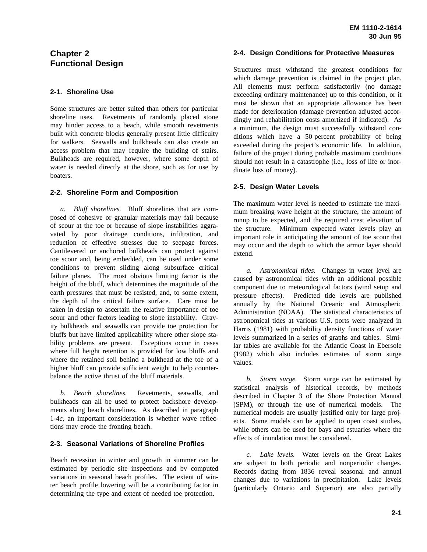#### **2-1. Shoreline Use**

Some structures are better suited than others for particular shoreline uses. Revetments of randomly placed stone may hinder access to a beach, while smooth revetments built with concrete blocks generally present little difficulty for walkers. Seawalls and bulkheads can also create an access problem that may require the building of stairs. Bulkheads are required, however, where some depth of water is needed directly at the shore, such as for use by boaters.

#### **2-2. Shoreline Form and Composition**

*a. Bluff shorelines.* Bluff shorelines that are composed of cohesive or granular materials may fail because of scour at the toe or because of slope instabilities aggravated by poor drainage conditions, infiltration, and reduction of effective stresses due to seepage forces. Cantilevered or anchored bulkheads can protect against toe scour and, being embedded, can be used under some conditions to prevent sliding along subsurface critical failure planes. The most obvious limiting factor is the height of the bluff, which determines the magnitude of the earth pressures that must be resisted, and, to some extent, the depth of the critical failure surface. Care must be taken in design to ascertain the relative importance of toe scour and other factors leading to slope instability. Gravity bulkheads and seawalls can provide toe protection for bluffs but have limited applicability where other slope stability problems are present. Exceptions occur in cases where full height retention is provided for low bluffs and where the retained soil behind a bulkhead at the toe of a higher bluff can provide sufficient weight to help counterbalance the active thrust of the bluff materials.

*b. Beach shorelines.* Revetments, seawalls, and bulkheads can all be used to protect backshore developments along beach shorelines. As described in paragraph 1-4*c*, an important consideration is whether wave reflections may erode the fronting beach.

#### **2-3. Seasonal Variations of Shoreline Profiles**

Beach recession in winter and growth in summer can be estimated by periodic site inspections and by computed variations in seasonal beach profiles. The extent of winter beach profile lowering will be a contributing factor in determining the type and extent of needed toe protection.

#### **2-4. Design Conditions for Protective Measures**

Structures must withstand the greatest conditions for which damage prevention is claimed in the project plan. All elements must perform satisfactorily (no damage exceeding ordinary maintenance) up to this condition, or it must be shown that an appropriate allowance has been made for deterioration (damage prevention adjusted accordingly and rehabilitation costs amortized if indicated). As a minimum, the design must successfully withstand conditions which have a 50 percent probability of being exceeded during the project's economic life. In addition, failure of the project during probable maximum conditions should not result in a catastrophe (i.e., loss of life or inordinate loss of money).

#### **2-5. Design Water Levels**

The maximum water level is needed to estimate the maximum breaking wave height at the structure, the amount of runup to be expected, and the required crest elevation of the structure. Minimum expected water levels play an important role in anticipating the amount of toe scour that may occur and the depth to which the armor layer should extend.

*a. Astronomical tides.* Changes in water level are caused by astronomical tides with an additional possible component due to meteorological factors (wind setup and pressure effects). Predicted tide levels are published annually by the National Oceanic and Atmospheric Administration (NOAA). The statistical characteristics of astronomical tides at various U.S. ports were analyzed in Harris (1981) with probability density functions of water levels summarized in a series of graphs and tables. Similar tables are available for the Atlantic Coast in Ebersole (1982) which also includes estimates of storm surge values.

*b. Storm surge.* Storm surge can be estimated by statistical analysis of historical records, by methods described in Chapter 3 of the Shore Protection Manual (SPM), or through the use of numerical models. The numerical models are usually justified only for large projects. Some models can be applied to open coast studies, while others can be used for bays and estuaries where the effects of inundation must be considered.

*c. Lake levels.* Water levels on the Great Lakes are subject to both periodic and nonperiodic changes. Records dating from 1836 reveal seasonal and annual changes due to variations in precipitation. Lake levels (particularly Ontario and Superior) are also partially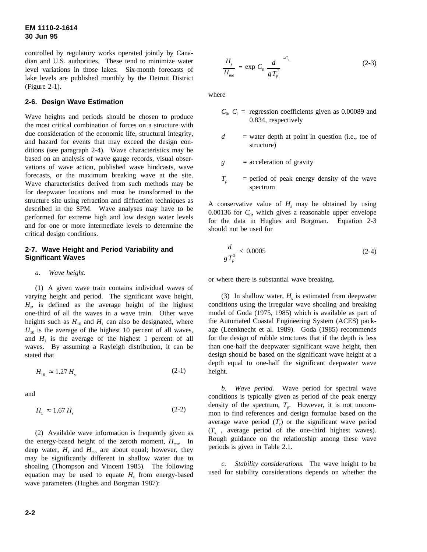controlled by regulatory works operated jointly by Canadian and U.S. authorities. These tend to minimize water level variations in those lakes. Six-month forecasts of lake levels are published monthly by the Detroit District (Figure 2-1).

#### **2-6. Design Wave Estimation**

Wave heights and periods should be chosen to produce the most critical combination of forces on a structure with due consideration of the economic life, structural integrity, and hazard for events that may exceed the design conditions (see paragraph 2-4). Wave characteristics may be based on an analysis of wave gauge records, visual observations of wave action, published wave hindcasts, wave forecasts, or the maximum breaking wave at the site. Wave characteristics derived from such methods may be for deepwater locations and must be transformed to the structure site using refraction and diffraction techniques as described in the SPM. Wave analyses may have to be performed for extreme high and low design water levels and for one or more intermediate levels to determine the critical design conditions.

#### **2-7. Wave Height and Period Variability and Significant Waves**

#### *a. Wave height.*

(1) A given wave train contains individual waves of varying height and period. The significant wave height,  $H<sub>o</sub>$ , is defined as the average height of the highest one-third of all the waves in a wave train. Other wave heights such as  $H_{10}$  and  $H_1$  can also be designated, where  $H_{10}$  is the average of the highest 10 percent of all waves, and  $H_1$  is the average of the highest 1 percent of all waves. By assuming a Rayleigh distribution, it can be stated that

$$
H_{10} \approx 1.27 \, H_s \tag{2-1}
$$

and

$$
H_{1} \approx 1.67 \, H_{s} \tag{2-2}
$$

(2) Available wave information is frequently given as the energy-based height of the zeroth moment,  $H_{mo}$ . In deep water,  $H_s$  and  $H_{mo}$  are about equal; however, they may be significantly different in shallow water due to shoaling (Thompson and Vincent 1985). The following equation may be used to equate  $H_s$  from energy-based wave parameters (Hughes and Borgman 1987):

$$
\frac{H_s}{H_{mo}} = \exp\left[C_0 \left(\frac{d}{g T_p^2}\right)^{C_1}\right]
$$
\n(2-3)

where

- $C_0$ ,  $C_1$  = regression coefficients given as 0.00089 and 0.834, respectively
- $d =$  water depth at point in question (i.e., toe of structure)
- $g =$  acceleration of gravity
- $T_p$  = period of peak energy density of the wave spectrum

A conservative value of  $H<sub>s</sub>$  may be obtained by using 0.00136 for  $C_0$ , which gives a reasonable upper envelope for the data in Hughes and Borgman. Equation 2-3 should not be used for

$$
\frac{d}{gT_p^2} < 0.0005\tag{2-4}
$$

or where there is substantial wave breaking.

(3) In shallow water,  $H<sub>s</sub>$  is estimated from deepwater conditions using the irregular wave shoaling and breaking model of Goda (1975, 1985) which is available as part of the Automated Coastal Engineering System (ACES) package (Leenknecht et al. 1989). Goda (1985) recommends for the design of rubble structures that if the depth is less than one-half the deepwater significant wave height, then design should be based on the significant wave height at a depth equal to one-half the significant deepwater wave height.

*b. Wave period.* Wave period for spectral wave conditions is typically given as period of the peak energy density of the spectrum,  $T_p$ . However, it is not uncommon to find references and design formulae based on the average wave period  $(T_z)$  or the significant wave period (*Ts* , average period of the one-third highest waves). Rough guidance on the relationship among these wave periods is given in Table 2.1.

*c. Stability considerations.* The wave height to be used for stability considerations depends on whether the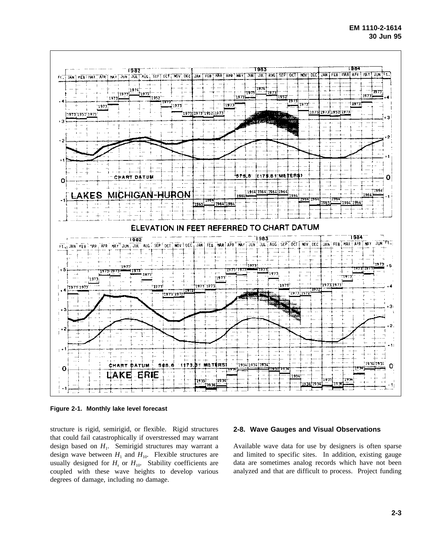

**Figure 2-1. Monthly lake level forecast**

structure is rigid, semirigid, or flexible. Rigid structures that could fail catastrophically if overstressed may warrant design based on  $H<sub>1</sub>$ . Semirigid structures may warrant a design wave between  $H_1$  and  $H_{10}$ . Flexible structures are usually designed for  $H_s$  or  $H_{10}$ . Stability coefficients are coupled with these wave heights to develop various degrees of damage, including no damage.

#### **2-8. Wave Gauges and Visual Observations**

Available wave data for use by designers is often sparse and limited to specific sites. In addition, existing gauge data are sometimes analog records which have not been analyzed and that are difficult to process. Project funding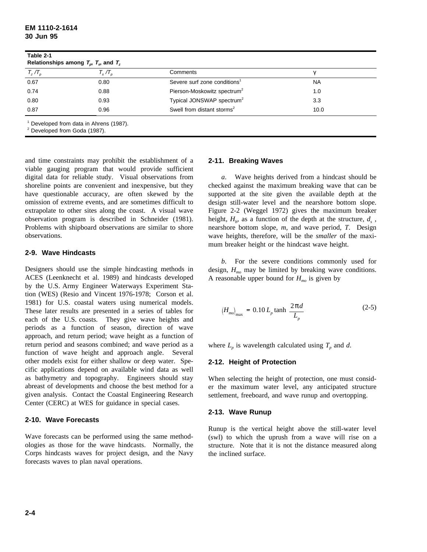#### **EM 1110-2-1614 30 Jun 95**

**Table 2-1 Relationships among**  $T_p$ ,  $T_s$ , and  $T_s$  $T_z/T_p$   $T_s/T_p$  Comments γ 0.67 0.80 0.80 Severe surf zone conditions<sup>1</sup> 0.74 0.88 0.88 Pierson-Moskowitz spectrum<sup>2</sup> 1.0 0.80 0.93 0.93 Typical JONSWAP spectrum<sup>2</sup> 3.3 0.87 0.96 0.96 Swell from distant storms<sup>2</sup> 0.00

 $<sup>1</sup>$  Developed from data in Ahrens (1987).</sup>

<sup>2</sup> Developed from Goda (1987).

and time constraints may prohibit the establishment of a viable gauging program that would provide sufficient digital data for reliable study. Visual observations from shoreline points are convenient and inexpensive, but they have questionable accuracy, are often skewed by the omission of extreme events, and are sometimes difficult to extrapolate to other sites along the coast. A visual wave observation program is described in Schneider (1981). Problems with shipboard observations are similar to shore observations.

#### **2-9. Wave Hindcasts**

Designers should use the simple hindcasting methods in ACES (Leenknecht et al. 1989) and hindcasts developed by the U.S. Army Engineer Waterways Experiment Station (WES) (Resio and Vincent 1976-1978; Corson et al. 1981) for U.S. coastal waters using numerical models. These later results are presented in a series of tables for each of the U.S. coasts. They give wave heights and periods as a function of season, direction of wave approach, and return period; wave height as a function of return period and seasons combined; and wave period as a function of wave height and approach angle. Several other models exist for either shallow or deep water. Specific applications depend on available wind data as well as bathymetry and topography. Engineers should stay abreast of developments and choose the best method for a given analysis. Contact the Coastal Engineering Research Center (CERC) at WES for guidance in special cases.

#### **2-10. Wave Forecasts**

Wave forecasts can be performed using the same methodologies as those for the wave hindcasts. Normally, the Corps hindcasts waves for project design, and the Navy forecasts waves to plan naval operations.

#### **2-11. Breaking Waves**

*a*. Wave heights derived from a hindcast should be checked against the maximum breaking wave that can be supported at the site given the available depth at the design still-water level and the nearshore bottom slope. Figure 2-2 (Weggel 1972) gives the maximum breaker height,  $H_b$ , as a function of the depth at the structure,  $d_s$ , nearshore bottom slope, *m*, and wave period, *T*. Design wave heights, therefore, will be the *smaller* of the maximum breaker height or the hindcast wave height.

*b*. For the severe conditions commonly used for design,  $H_{mg}$  may be limited by breaking wave conditions. A reasonable upper bound for  $H_{mo}$  is given by

$$
\left(H_{mo}\right)_{\text{max}} = 0.10 L_p \tanh\left(\frac{2\pi d}{L_p}\right) \tag{2-5}
$$

where  $L_p$  is wavelength calculated using  $T_p$  and  $d$ .

#### **2-12. Height of Protection**

When selecting the height of protection, one must consider the maximum water level, any anticipated structure settlement, freeboard, and wave runup and overtopping.

#### **2-13. Wave Runup**

Runup is the vertical height above the still-water level (swl) to which the uprush from a wave will rise on a structure. Note that it is not the distance measured along the inclined surface.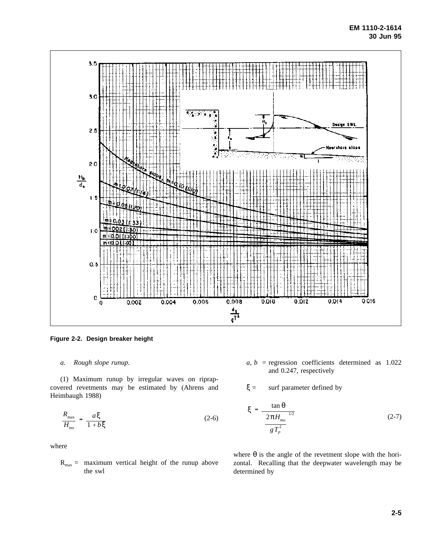

**Figure 2-2. Design breaker height**

#### *a. Rough slope runup.*

(1) Maximum runup by irregular waves on riprapcovered revetments may be estimated by (Ahrens and Heimbaugh 1988)

$$
\frac{R_{\text{max}}}{H_{\text{mo}}} = \frac{a\xi}{1 + b\xi} \tag{2-6}
$$

where

 $R_{\text{max}} =$  maximum vertical height of the runup above the swl

 $a, b$  = regression coefficients determined as  $1.022$ and 0.247, respectively

$$
\xi
$$
 = surf parameter defined by

$$
\xi = \frac{\tan \theta}{\left(\frac{2\pi H_{\text{mo}}}{g T_p^2}\right)^{1/2}}\tag{2-7}
$$

where  $\theta$  is the angle of the revetment slope with the horizontal. Recalling that the deepwater wavelength may be determined by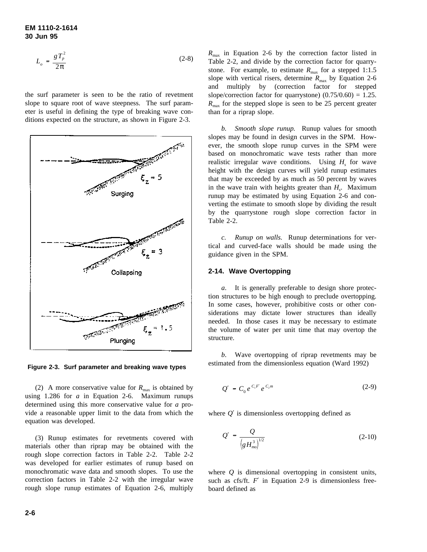$$
L_o = \frac{g T_p^2}{2\pi} \tag{2-8}
$$

the surf parameter is seen to be the ratio of revetment slope to square root of wave steepness. The surf parameter is useful in defining the type of breaking wave conditions expected on the structure, as shown in Figure 2-3.



**Figure 2-3. Surf parameter and breaking wave types**

(2) A more conservative value for  $R_{\text{max}}$  is obtained by using 1.286 for *a* in Equation 2-6. Maximum runups determined using this more conservative value for *a* provide a reasonable upper limit to the data from which the equation was developed.

(3) Runup estimates for revetments covered with materials other than riprap may be obtained with the rough slope correction factors in Table 2-2. Table 2-2 was developed for earlier estimates of runup based on monochromatic wave data and smooth slopes. To use the correction factors in Table 2-2 with the irregular wave rough slope runup estimates of Equation 2-6, multiply  $R_{\text{max}}$  in Equation 2-6 by the correction factor listed in Table 2-2, and divide by the correction factor for quarrystone. For example, to estimate  $R_{\text{max}}$  for a stepped 1:1.5 slope with vertical risers, determine  $R_{\text{max}}$  by Equation 2-6 and multiply by (correction factor for stepped slope/correction factor for quarrystone)  $(0.75/0.60) = 1.25$ .  $R_{\text{max}}$  for the stepped slope is seen to be 25 percent greater than for a riprap slope.

*b. Smooth slope runup.* Runup values for smooth slopes may be found in design curves in the SPM. However, the smooth slope runup curves in the SPM were based on monochromatic wave tests rather than more realistic irregular wave conditions. Using  $H_s$  for wave height with the design curves will yield runup estimates that may be exceeded by as much as 50 percent by waves in the wave train with heights greater than  $H<sub>s</sub>$ . Maximum runup may be estimated by using Equation 2-6 and converting the estimate to smooth slope by dividing the result by the quarrystone rough slope correction factor in Table 2-2.

*c. Runup on walls.* Runup determinations for vertical and curved-face walls should be made using the guidance given in the SPM.

#### **2-14. Wave Overtopping**

*a*. It is generally preferable to design shore protection structures to be high enough to preclude overtopping. In some cases, however, prohibitive costs or other considerations may dictate lower structures than ideally needed. In those cases it may be necessary to estimate the volume of water per unit time that may overtop the structure.

*b*. Wave overtopping of riprap revetments may be estimated from the dimensionless equation (Ward 1992)

$$
Q' = C_0 e^{C_1 F} e^{C_2 m} \tag{2-9}
$$

where *Q*′ is dimensionless overtopping defined as

$$
Q' = \frac{Q}{\left(gH_{mo}^3\right)^{1/2}}
$$
 (2-10)

where *Q* is dimensional overtopping in consistent units, such as  $cfs/ft$ .  $F'$  in Equation 2-9 is dimensionless freeboard defined as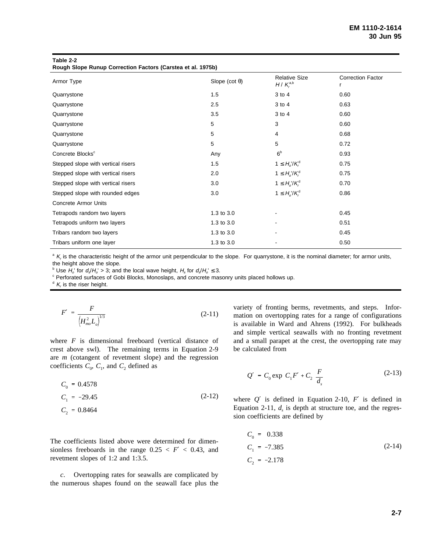**Table 2-2 Rough Slope Runup Correction Factors (Carstea et al. 1975b)**

| Armor Type                         | Slope (cot $\theta$ ) | <b>Relative Size</b><br>$H/K_r^{a,b}$ | <b>Correction Factor</b> |
|------------------------------------|-----------------------|---------------------------------------|--------------------------|
| Quarrystone                        | 1.5                   | 3 to 4                                | 0.60                     |
| Quarrystone                        | 2.5                   | 3 to 4                                | 0.63                     |
| Quarrystone                        | 3.5                   | 3 to 4                                | 0.60                     |
| Quarrystone                        | 5                     | 3                                     | 0.60                     |
| Quarrystone                        | 5                     | 4                                     | 0.68                     |
| Quarrystone                        | 5                     | 5                                     | 0.72                     |
| Concrete Blocks <sup>c</sup>       | Any                   | 6 <sup>b</sup>                        | 0.93                     |
| Stepped slope with vertical risers | 1.5                   | $1 \leq H_o^3/K_r^d$                  | 0.75                     |
| Stepped slope with vertical risers | 2.0                   | $1 \leq H_o^3/K_r^d$                  | 0.75                     |
| Stepped slope with vertical risers | 3.0                   | $1 \leq H_o^3/K_r^d$                  | 0.70                     |
| Stepped slope with rounded edges   | 3.0                   | $1 \leq H_o^3/K_r^d$                  | 0.86                     |
| <b>Concrete Armor Units</b>        |                       |                                       |                          |
| Tetrapods random two layers        | 1.3 to 3.0            |                                       | 0.45                     |
| Tetrapods uniform two layers       | 1.3 to 3.0            |                                       | 0.51                     |
| Tribars random two layers          | 1.3 to 3.0            |                                       | 0.45                     |
| Tribars uniform one layer          | 1.3 to 3.0            |                                       | 0.50                     |

 $a$  K<sub>r</sub> is the characteristic height of the armor unit perpendicular to the slope. For quarrystone, it is the nominal diameter; for armor units, the height above the slope.

<sup>b</sup> Use H<sub>o</sub>' for  $d\llbracket H_o^3 > 3$ ; and the local wave height, H<sub>s</sub> for  $d\llbracket H_o^3 \leq 3$ .

<sup>c</sup> Perforated surfaces of Gobi Blocks, Monoslaps, and concrete masonry units placed hollows up.

 $d K$ , is the riser height.

$$
F' = \frac{F}{\left(H_{mo}^2 L_o\right)^{1/3}}
$$
 (2-11)

where *F* is dimensional freeboard (vertical distance of crest above swl). The remaining terms in Equation 2-9 are *m* (cotangent of revetment slope) and the regression coefficients  $C_0$ ,  $C_1$ , and  $C_2$  defined as

$$
C_0 = 0.4578
$$
  
\n
$$
C_1 = -29.45
$$
  
\n
$$
C_2 = 0.8464
$$
\n(2-12)

variety of fronting berms, revetments, and steps. Information on overtopping rates for a range of configurations is available in Ward and Ahrens (1992). For bulkheads and simple vertical seawalls with no fronting revetment and a small parapet at the crest, the overtopping rate may be calculated from

$$
Q' = C_0 \exp\left[C_1 F' + C_2 \left(\frac{F}{d_s}\right)\right]
$$
 (2-13)

where  $Q'$  is defined in Equation 2-10,  $F'$  is defined in Equation 2-11,  $d<sub>s</sub>$  is depth at structure toe, and the regression coefficients are defined by

$$
C_0 = 0.338
$$
  
\n
$$
C_1 = -7.385
$$
  
\n
$$
C_2 = -2.178
$$
\n(2-14)

The coefficients listed above were determined for dimensionless freeboards in the range  $0.25 < F' < 0.43$ , and revetment slopes of 1:2 and 1:3.5.

*c*. Overtopping rates for seawalls are complicated by the numerous shapes found on the seawall face plus the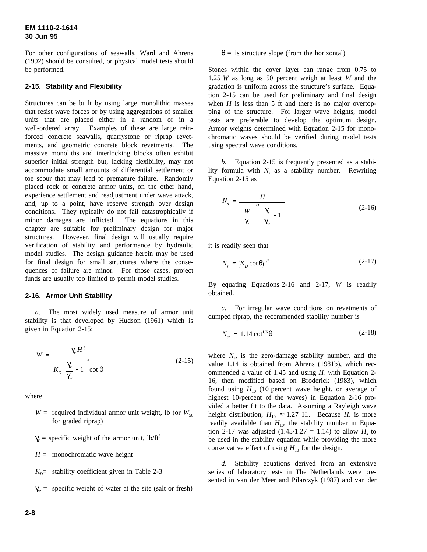For other configurations of seawalls, Ward and Ahrens (1992) should be consulted, or physical model tests should be performed.

#### **2-15. Stability and Flexibility**

Structures can be built by using large monolithic masses that resist wave forces or by using aggregations of smaller units that are placed either in a random or in a well-ordered array. Examples of these are large reinforced concrete seawalls, quarrystone or riprap revetments, and geometric concrete block revetments. The massive monoliths and interlocking blocks often exhibit superior initial strength but, lacking flexibility, may not accommodate small amounts of differential settlement or toe scour that may lead to premature failure. Randomly placed rock or concrete armor units, on the other hand, experience settlement and readjustment under wave attack, and, up to a point, have reserve strength over design conditions. They typically do not fail catastrophically if minor damages are inflicted. The equations in this chapter are suitable for preliminary design for major structures. However, final design will usually require verification of stability and performance by hydraulic model studies. The design guidance herein may be used for final design for small structures where the consequences of failure are minor. For those cases, project funds are usually too limited to permit model studies.

#### **2-16. Armor Unit Stability**

*a*. The most widely used measure of armor unit stability is that developed by Hudson (1961) which is given in Equation 2-15:

$$
W = \frac{\gamma_r H^3}{K_D \left(\frac{\gamma_r}{\gamma_w} - 1\right)^3 \cot \theta}
$$
 (2-15)

where

- $W =$  required individual armor unit weight, lb (or  $W_{50}$ ) for graded riprap)
- $γ<sub>r</sub>$  = specific weight of the armor unit, lb/ft<sup>3</sup>
- $H =$  monochromatic wave height
- $K<sub>D</sub>$  stability coefficient given in Table 2-3
- $\gamma_w$  = specific weight of water at the site (salt or fresh)

#### $\theta$  = is structure slope (from the horizontal)

Stones within the cover layer can range from 0.75 to 1.25 *W* as long as 50 percent weigh at least *W* and the gradation is uniform across the structure's surface. Equation 2-15 can be used for preliminary and final design when  $H$  is less than  $5$  ft and there is no major overtopping of the structure. For larger wave heights, model tests are preferable to develop the optimum design. Armor weights determined with Equation 2-15 for monochromatic waves should be verified during model tests using spectral wave conditions.

*b*. Equation 2-15 is frequently presented as a stability formula with  $N<sub>s</sub>$  as a stability number. Rewriting Equation 2-15 as

$$
N_s = \frac{H}{\left(\frac{W}{\gamma_r}\right)^{1/3} \left(\frac{\gamma_r}{\gamma_w} - 1\right)}
$$
(2-16)

it is readily seen that

$$
N_s = (K_D \cot \theta)^{1/3} \tag{2-17}
$$

By equating Equations 2-16 and 2-17, *W* is readily obtained.

*c*. For irregular wave conditions on revetments of dumped riprap, the recommended stability number is

$$
N_{\rm sz} = 1.14 \cot^{1/6} \theta \tag{2-18}
$$

where  $N_{sz}$  is the zero-damage stability number, and the value 1.14 is obtained from Ahrens (1981b), which recommended a value of 1.45 and using  $H<sub>s</sub>$  with Equation 2-16, then modified based on Broderick (1983), which found using  $H_{10}$  (10 percent wave height, or average of highest 10-percent of the waves) in Equation 2-16 provided a better fit to the data. Assuming a Rayleigh wave height distribution,  $H_{10} \approx 1.27$  H<sub>s</sub>. Because  $H_s$  is more readily available than  $H_{10}$ , the stability number in Equation 2-17 was adjusted  $(1.45/1.27 = 1.14)$  to allow *H<sub>s</sub>* to be used in the stability equation while providing the more conservative effect of using  $H_{10}$  for the design.

*d*. Stability equations derived from an extensive series of laboratory tests in The Netherlands were presented in van der Meer and Pilarczyk (1987) and van der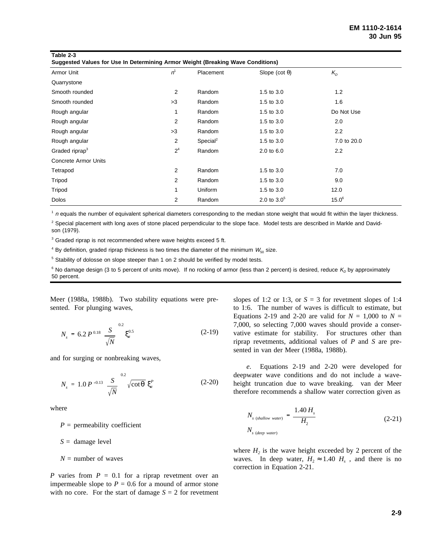**Suggested Values for Use In Determining Armor Weight (Breaking Wave Conditions)**

| - 99 -<br>Armor Unit        | n <sup>1</sup> | Placement            | Slope (cot $\theta$ ) | $K_{D}$     |  |
|-----------------------------|----------------|----------------------|-----------------------|-------------|--|
| Quarrystone                 |                |                      |                       |             |  |
| Smooth rounded              | 2              | Random               | 1.5 to 3.0            | 1.2         |  |
| Smooth rounded              | >3             | Random               | 1.5 to 3.0            | 1.6         |  |
| Rough angular               | 1              | Random               | 1.5 to 3.0            | Do Not Use  |  |
| Rough angular               | 2              | Random               | 1.5 to 3.0            | 2.0         |  |
| Rough angular               | >3             | Random               | 1.5 to 3.0            | 2.2         |  |
| Rough angular               | 2              | Special <sup>2</sup> | 1.5 to 3.0            | 7.0 to 20.0 |  |
| Graded riprap <sup>3</sup>  | 2 <sup>4</sup> | Random               | 2.0 to 6.0            | 2.2         |  |
| <b>Concrete Armor Units</b> |                |                      |                       |             |  |
| Tetrapod                    | 2              | Random               | 1.5 to 3.0            | 7.0         |  |
| Tripod                      | 2              | Random               | 1.5 to 3.0            | 9.0         |  |
| Tripod                      | 1              | Uniform              | 1.5 to 3.0            | 12.0        |  |
| <b>Dolos</b>                | 2              | Random               | 2.0 to $3.0^5$        | $15.0^6$    |  |

 $1$  n equals the number of equivalent spherical diameters corresponding to the median stone weight that would fit within the layer thickness.

 $2$  Special placement with long axes of stone placed perpendicular to the slope face. Model tests are described in Markle and Davidson (1979).

<sup>3</sup> Graded riprap is not recommended where wave heights exceed 5 ft.

 $4$  By definition, graded riprap thickness is two times the diameter of the minimum  $W_{50}$  size.

 $5$  Stability of dolosse on slope steeper than 1 on 2 should be verified by model tests.

 $6$  No damage design (3 to 5 percent of units move). If no rocking of armor (less than 2 percent) is desired, reduce  $K_D$  by approximately 50 percent.

Meer (1988a, 1988b). Two stability equations were presented. For plunging waves,

$$
N_s = 6.2 P^{0.18} \left(\frac{S}{\sqrt{N}}\right)^{0.2} \xi_c^{0.5}
$$
 (2-19)

and for surging or nonbreaking waves,

$$
N_{s} = 1.0 P^{-0.13} \left(\frac{S}{\sqrt{N}}\right)^{0.2} \sqrt{\cot \theta} \xi_{z}^{P}
$$
 (2-20)

where

 $P =$  permeability coefficient

*S* = damage level

 $N =$  number of waves

*P* varies from  $P = 0.1$  for a riprap revetment over an impermeable slope to  $P = 0.6$  for a mound of armor stone with no core. For the start of damage  $S = 2$  for revetment slopes of 1:2 or 1:3, or  $S = 3$  for revetment slopes of 1:4 to 1:6. The number of waves is difficult to estimate, but Equations 2-19 and 2-20 are valid for  $N = 1,000$  to  $N =$ 7,000, so selecting 7,000 waves should provide a conservative estimate for stability. For structures other than riprap revetments, additional values of *P* and *S* are presented in van der Meer (1988a, 1988b).

*e*. Equations 2-19 and 2-20 were developed for deepwater wave conditions and do not include a waveheight truncation due to wave breaking. van der Meer therefore recommends a shallow water correction given as

$$
N_{s \ (shallow \ water)} = \frac{1.40 \, H_s}{H_2} \tag{2-21}
$$

where  $H_2$  is the wave height exceeded by 2 percent of the waves. In deep water,  $H_2 \approx 1.40$   $H_s$ , and there is no correction in Equation 2-21.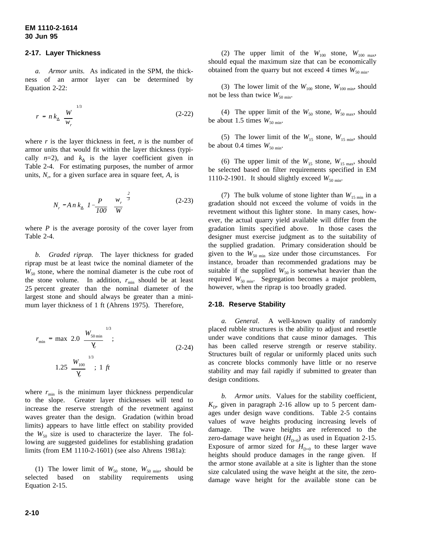#### **2-17. Layer Thickness**

*a. Armor units.* As indicated in the SPM, the thickness of an armor layer can be determined by Equation 2-22:

$$
r = n k_{\Delta} \left(\frac{W}{w_r}\right)^{1/3} \tag{2-22}
$$

where  $r$  is the layer thickness in feet,  $n$  is the number of armor units that would fit within the layer thickness (typically  $n=2$ ), and  $k<sub>∆</sub>$  is the layer coefficient given in Table 2-4. For estimating purposes, the number of armor units,  $N_r$ , for a given surface area in square feet,  $A$ , is

$$
N_r = A n k_{\Delta} \left( I - \frac{P}{100} \right) \left( \frac{w_r}{W} \right)^{\frac{2}{3}}
$$
 (2-23)

where  $P$  is the average porosity of the cover layer from Table 2-4.

*b. Graded riprap.* The layer thickness for graded riprap must be at least twice the nominal diameter of the  $W_{50}$  stone, where the nominal diameter is the cube root of the stone volume. In addition,  $r_{\text{min}}$  should be at least 25 percent greater than the nominal diameter of the largest stone and should always be greater than a minimum layer thickness of 1 ft (Ahrens 1975). Therefore,

$$
r_{\min} = \max \left[ 2.0 \left( \frac{W_{50 \min}}{\gamma_r} \right)^{1/3};
$$
  
1.25  $\left( \frac{W_{100}}{\gamma_r} \right)^{1/3};$  1 ft \right] (2-24)

where  $r_{\text{min}}$  is the minimum layer thickness perpendicular to the slope. Greater layer thicknesses will tend to increase the reserve strength of the revetment against waves greater than the design. Gradation (within broad limits) appears to have little effect on stability provided the  $W_{50}$  size is used to characterize the layer. The following are suggested guidelines for establishing gradation limits (from EM 1110-2-1601) (see also Ahrens 1981a):

(1) The lower limit of  $W_{50}$  stone,  $W_{50 \text{ min}}$ , should be selected based on stability requirements using Equation 2-15.

(2) The upper limit of the  $W_{100}$  stone,  $W_{100 \text{ max}}$ , should equal the maximum size that can be economically obtained from the quarry but not exceed 4 times  $W_{50 \text{ min}}$ .

(3) The lower limit of the  $W_{100}$  stone,  $W_{100 \text{ min}}$ , should not be less than twice  $W_{50 \text{ min}}$ .

(4) The upper limit of the  $W_{50}$  stone,  $W_{50}$  max, should be about 1.5 times  $W_{50 \text{ min}}$ .

(5) The lower limit of the  $W_{15}$  stone,  $W_{15 \text{ min}}$ , should be about 0.4 times  $W_{50 \text{ min}}$ .

(6) The upper limit of the  $W_{15}$  stone,  $W_{15}$ <sub>nax</sub>, should be selected based on filter requirements specified in EM 1110-2-1901. It should slightly exceed  $W_{50 \text{ min}}$ .

(7) The bulk volume of stone lighter than  $W_{15 \text{ min}}$  in a gradation should not exceed the volume of voids in the revetment without this lighter stone. In many cases, however, the actual quarry yield available will differ from the gradation limits specified above. In those cases the designer must exercise judgment as to the suitability of the supplied gradation. Primary consideration should be given to the  $W_{50 \text{ min}}$  size under those circumstances. For instance, broader than recommended gradations may be suitable if the supplied  $W_{50}$  is somewhat heavier than the required  $W_{50 \text{ min}}$ . Segregation becomes a major problem, however, when the riprap is too broadly graded.

#### **2-18. Reserve Stability**

*a. General*. A well-known quality of randomly placed rubble structures is the ability to adjust and resettle under wave conditions that cause minor damages. This has been called reserve strength or reserve stability. Structures built of regular or uniformly placed units such as concrete blocks commonly have little or no reserve stability and may fail rapidly if submitted to greater than design conditions.

*b. Armor units*. Values for the stability coefficient,  $K<sub>D</sub>$ , given in paragraph 2-16 allow up to 5 percent damages under design wave conditions. Table 2-5 contains values of wave heights producing increasing levels of damage. The wave heights are referenced to the zero-damage wave height  $(H_{D=0})$  as used in Equation 2-15. Exposure of armor sized for  $H_{D=0}$  to these larger wave heights should produce damages in the range given. If the armor stone available at a site is lighter than the stone size calculated using the wave height at the site, the zerodamage wave height for the available stone can be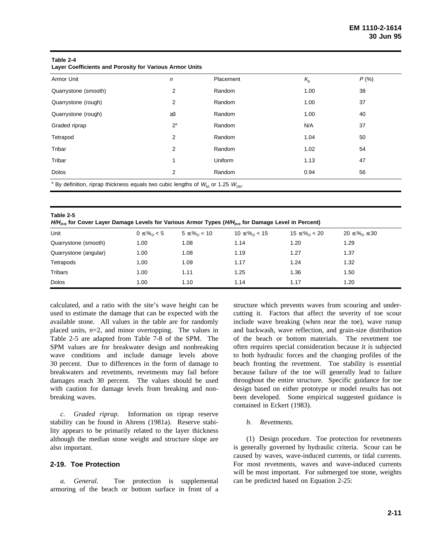**Table 2-4 Layer Coefficients and Porosity for Various Armor Units**

| Armor Unit           | n              | Placement | $\mathsf{K}_{\scriptscriptstyle{\Delta}}$ | $P$ (%) |
|----------------------|----------------|-----------|-------------------------------------------|---------|
| Quarrystone (smooth) | $\overline{2}$ | Random    | 1.00                                      | 38      |
| Quarrystone (rough)  | 2              | Random    | 1.00                                      | 37      |
| Quarrystone (rough)  | $\geq$ 3       | Random    | 1.00                                      | 40      |
| Graded riprap        | $2^a$          | Random    | N/A                                       | 37      |
| Tetrapod             | 2              | Random    | 1.04                                      | 50      |
| Tribar               | $\overline{2}$ | Random    | 1.02                                      | 54      |
| Tribar               | 1              | Uniform   | 1.13                                      | 47      |
| <b>Dolos</b>         | 2              | Random    | 0.94                                      | 56      |

<sup>a</sup> By definition, riprap thickness equals two cubic lengths of  $W_{50}$  or 1.25  $W_{100}$ .

**Table 2-5**

|  |  | $H/H_{p=0}$ for Cover Layer Damage Levels for Various Armor Types ( $H/H_{p=0}$ for Damage Level in Percent) |  |  |  |  |
|--|--|--------------------------------------------------------------------------------------------------------------|--|--|--|--|
|  |  |                                                                                                              |  |  |  |  |

| Unit                  | $0 \leq \frac{9}{20} < 5$ | $5 \leq \%_{D} < 10$ | $10 \leq \%_{p} < 15$ | $15 \leq \%_{D} < 20$ | $20 \leq \%_{0} \leq 30$ |
|-----------------------|---------------------------|----------------------|-----------------------|-----------------------|--------------------------|
| Quarrystone (smooth)  | 1.00                      | 1.08                 | 1.14                  | 1.20                  | 1.29                     |
| Quarrystone (angular) | 1.00                      | 1.08                 | 1.19                  | 1.27                  | 1.37                     |
| Tetrapods             | 1.00                      | 1.09                 | 1.17                  | 1.24                  | 1.32                     |
| Tribars               | 1.00                      | 1.11                 | 1.25                  | 1.36                  | 1.50                     |
| <b>Dolos</b>          | 1.00                      | 1.10                 | 1.14                  | 1.17                  | 1.20                     |

calculated, and a ratio with the site's wave height can be used to estimate the damage that can be expected with the available stone. All values in the table are for randomly placed units, *n*=2, and minor overtopping. The values in Table 2-5 are adapted from Table 7-8 of the SPM. The SPM values are for breakwater design and nonbreaking wave conditions and include damage levels above 30 percent. Due to differences in the form of damage to breakwaters and revetments, revetments may fail before damages reach 30 percent. The values should be used with caution for damage levels from breaking and nonbreaking waves.

*c. Graded riprap.* Information on riprap reserve stability can be found in Ahrens (1981a). Reserve stability appears to be primarily related to the layer thickness although the median stone weight and structure slope are also important.

#### **2-19. Toe Protection**

*a. General.* Toe protection is supplemental armoring of the beach or bottom surface in front of a structure which prevents waves from scouring and undercutting it. Factors that affect the severity of toe scour include wave breaking (when near the toe), wave runup and backwash, wave reflection, and grain-size distribution of the beach or bottom materials. The revetment toe often requires special consideration because it is subjected to both hydraulic forces and the changing profiles of the beach fronting the revetment. Toe stability is essential because failure of the toe will generally lead to failure throughout the entire structure. Specific guidance for toe design based on either prototype or model results has not been developed. Some empirical suggested guidance is contained in Eckert (1983).

#### *b. Revetments.*

(1) Design procedure. Toe protection for revetments is generally governed by hydraulic criteria. Scour can be caused by waves, wave-induced currents, or tidal currents. For most revetments, waves and wave-induced currents will be most important. For submerged toe stone, weights can be predicted based on Equation 2-25: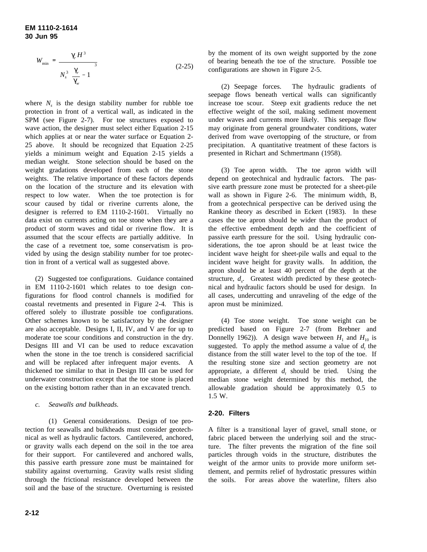$$
W_{\min} = \frac{\gamma_r H^3}{N_s^3 \left(\frac{\gamma_r}{\gamma_w} - 1\right)^3}
$$
 (2-25)

where  $N<sub>s</sub>$  is the design stability number for rubble toe protection in front of a vertical wall, as indicated in the SPM (see Figure 2-7). For toe structures exposed to wave action, the designer must select either Equation 2-15 which applies at or near the water surface or Equation 2- 25 above. It should be recognized that Equation 2-25 yields a minimum weight and Equation 2-15 yields a median weight. Stone selection should be based on the weight gradations developed from each of the stone weights. The relative importance of these factors depends on the location of the structure and its elevation with respect to low water. When the toe protection is for scour caused by tidal or riverine currents alone, the designer is referred to EM 1110-2-1601. Virtually no data exist on currents acting on toe stone when they are a product of storm waves and tidal or riverine flow. It is assumed that the scour effects are partially additive. In the case of a revetment toe, some conservatism is provided by using the design stability number for toe protection in front of a vertical wall as suggested above.

(2) Suggested toe configurations. Guidance contained in EM 1110-2-1601 which relates to toe design configurations for flood control channels is modified for coastal revetments and presented in Figure 2-4. This is offered solely to illustrate possible toe configurations. Other schemes known to be satisfactory by the designer are also acceptable. Designs I, II, IV, and V are for up to moderate toe scour conditions and construction in the dry. Designs III and VI can be used to reduce excavation when the stone in the toe trench is considered sacrificial and will be replaced after infrequent major events. A thickened toe similar to that in Design III can be used for underwater construction except that the toe stone is placed on the existing bottom rather than in an excavated trench.

#### *c. Seawalls and bulkheads.*

(1) General considerations. Design of toe protection for seawalls and bulkheads must consider geotechnical as well as hydraulic factors. Cantilevered, anchored, or gravity walls each depend on the soil in the toe area for their support. For cantilevered and anchored walls, this passive earth pressure zone must be maintained for stability against overturning. Gravity walls resist sliding through the frictional resistance developed between the soil and the base of the structure. Overturning is resisted

by the moment of its own weight supported by the zone of bearing beneath the toe of the structure. Possible toe configurations are shown in Figure 2-5.

(2) Seepage forces. The hydraulic gradients of seepage flows beneath vertical walls can significantly increase toe scour. Steep exit gradients reduce the net effective weight of the soil, making sediment movement under waves and currents more likely. This seepage flow may originate from general groundwater conditions, water derived from wave overtopping of the structure, or from precipitation. A quantitative treatment of these factors is presented in Richart and Schmertmann (1958).

(3) Toe apron width. The toe apron width will depend on geotechnical and hydraulic factors. The passive earth pressure zone must be protected for a sheet-pile wall as shown in Figure 2-6. The minimum width, B, from a geotechnical perspective can be derived using the Rankine theory as described in Eckert (1983). In these cases the toe apron should be wider than the product of the effective embedment depth and the coefficient of passive earth pressure for the soil. Using hydraulic considerations, the toe apron should be at least twice the incident wave height for sheet-pile walls and equal to the incident wave height for gravity walls. In addition, the apron should be at least 40 percent of the depth at the structure,  $d_s$ . Greatest width predicted by these geotechnical and hydraulic factors should be used for design. In all cases, undercutting and unraveling of the edge of the apron must be minimized.

(4) Toe stone weight. Toe stone weight can be predicted based on Figure 2-7 (from Brebner and Donnelly 1962)). A design wave between  $H_1$  and  $H_{10}$  is suggested. To apply the method assume a value of  $d_t$ , the distance from the still water level to the top of the toe. If the resulting stone size and section geometry are not appropriate, a different  $d$ , should be tried. Using the median stone weight determined by this method, the allowable gradation should be approximately 0.5 to 1.5 W.

#### **2-20. Filters**

A filter is a transitional layer of gravel, small stone, or fabric placed between the underlying soil and the structure. The filter prevents the migration of the fine soil particles through voids in the structure, distributes the weight of the armor units to provide more uniform settlement, and permits relief of hydrostatic pressures within the soils. For areas above the waterline, filters also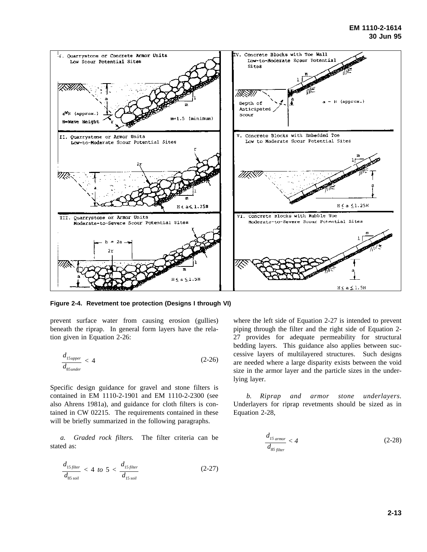

**Figure 2-4. Revetment toe protection (Designs I through VI)**

prevent surface water from causing erosion (gullies) beneath the riprap. In general form layers have the relation given in Equation 2-26:

$$
\frac{d_{15\text{ upper}}}{d_{85\text{ under}}}<4\tag{2-26}
$$

Specific design guidance for gravel and stone filters is contained in EM 1110-2-1901 and EM 1110-2-2300 (see also Ahrens 1981a), and guidance for cloth filters is contained in CW 02215. The requirements contained in these will be briefly summarized in the following paragraphs.

*a. Graded rock filters.* The filter criteria can be stated as:

$$
\frac{d_{15\,filter}}{d_{85\,soil}} < 4\,to\,5 < \frac{d_{15\,filter}}{d_{15\,soil}}\tag{2-27}
$$

where the left side of Equation 2-27 is intended to prevent piping through the filter and the right side of Equation 2- 27 provides for adequate permeability for structural bedding layers. This guidance also applies between successive layers of multilayered structures. Such designs are needed where a large disparity exists between the void size in the armor layer and the particle sizes in the underlying layer.

*b. Riprap and armor stone underlayers.* Underlayers for riprap revetments should be sized as in Equation 2-28,

$$
\frac{d_{15\,amor}}{d_{85\,filter}} < 4\tag{2-28}
$$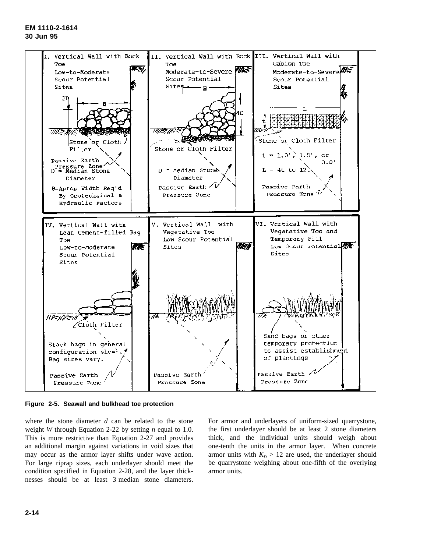

**Figure 2-5. Seawall and bulkhead toe protection**

where the stone diameter *d* can be related to the stone weight *W* through Equation 2-22 by setting *n* equal to 1.0. This is more restrictive than Equation 2-27 and provides an additional margin against variations in void sizes that may occur as the armor layer shifts under wave action. For large riprap sizes, each underlayer should meet the condition specified in Equation 2-28, and the layer thicknesses should be at least 3 median stone diameters.

For armor and underlayers of uniform-sized quarrystone, the first underlayer should be at least 2 stone diameters thick, and the individual units should weigh about one-tenth the units in the armor layer. When concrete armor units with  $K_D > 12$  are used, the underlayer should be quarrystone weighing about one-fifth of the overlying armor units.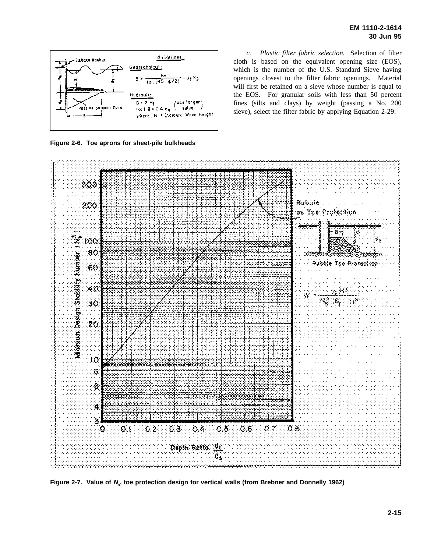

**Figure 2-6. Toe aprons for sheet-pile bulkheads**

*c. Plastic filter fabric selection.* Selection of filter cloth is based on the equivalent opening size (EOS), which is the number of the U.S. Standard Sieve having openings closest to the filter fabric openings. Material will first be retained on a sieve whose number is equal to the EOS. For granular soils with less than 50 percent fines (silts and clays) by weight (passing a No. 200 sieve), select the filter fabric by applying Equation 2-29:



Figure 2-7. Value of  $N<sub>s</sub>$ , toe protection design for vertical walls (from Brebner and Donnelly 1962)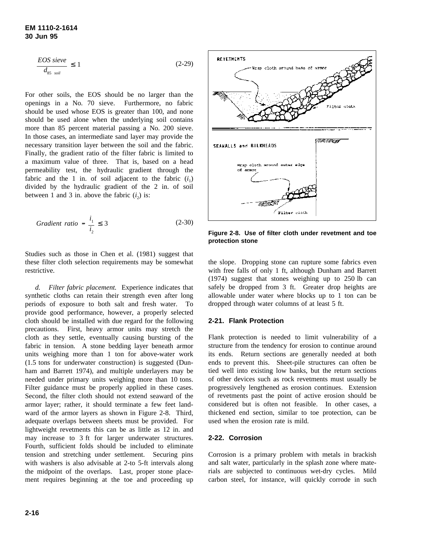$$
\frac{EOS\,sieve}{d_{85\,soil}} \le 1\tag{2-29}
$$

For other soils, the EOS should be no larger than the openings in a No. 70 sieve. Furthermore, no fabric should be used whose EOS is greater than 100, and none should be used alone when the underlying soil contains more than 85 percent material passing a No. 200 sieve. In those cases, an intermediate sand layer may provide the necessary transition layer between the soil and the fabric. Finally, the gradient ratio of the filter fabric is limited to a maximum value of three. That is, based on a head permeability test, the hydraulic gradient through the fabric and the 1 in. of soil adjacent to the fabric  $(i_1)$ divided by the hydraulic gradient of the 2 in. of soil between 1 and 3 in. above the fabric  $(i_2)$  is:

Gradient ratio = 
$$
\frac{i_1}{i_2} \le 3
$$
 (2-30)

Studies such as those in Chen et al. (1981) suggest that these filter cloth selection requirements may be somewhat restrictive.

*d. Filter fabric placement.* Experience indicates that synthetic cloths can retain their strength even after long periods of exposure to both salt and fresh water. To provide good performance, however, a properly selected cloth should be installed with due regard for the following precautions. First, heavy armor units may stretch the cloth as they settle, eventually causing bursting of the fabric in tension. A stone bedding layer beneath armor units weighing more than 1 ton for above-water work (1.5 tons for underwater construction) is suggested (Dunham and Barrett 1974), and multiple underlayers may be needed under primary units weighing more than 10 tons. Filter guidance must be properly applied in these cases. Second, the filter cloth should not extend seaward of the armor layer; rather, it should terminate a few feet landward of the armor layers as shown in Figure 2-8. Third, adequate overlaps between sheets must be provided. For lightweight revetments this can be as little as 12 in. and may increase to 3 ft for larger underwater structures. Fourth, sufficient folds should be included to eliminate tension and stretching under settlement. Securing pins with washers is also advisable at 2-to 5-ft intervals along the midpoint of the overlaps. Last, proper stone placement requires beginning at the toe and proceeding up



**Figure 2-8. Use of filter cloth under revetment and toe protection stone**

the slope. Dropping stone can rupture some fabrics even with free falls of only 1 ft, although Dunham and Barrett (1974) suggest that stones weighing up to 250 lb can safely be dropped from 3 ft. Greater drop heights are allowable under water where blocks up to 1 ton can be dropped through water columns of at least 5 ft.

#### **2-21. Flank Protection**

Flank protection is needed to limit vulnerability of a structure from the tendency for erosion to continue around its ends. Return sections are generally needed at both ends to prevent this. Sheet-pile structures can often be tied well into existing low banks, but the return sections of other devices such as rock revetments must usually be progressively lengthened as erosion continues. Extension of revetments past the point of active erosion should be considered but is often not feasible. In other cases, a thickened end section, similar to toe protection, can be used when the erosion rate is mild.

#### **2-22. Corrosion**

Corrosion is a primary problem with metals in brackish and salt water, particularly in the splash zone where materials are subjected to continuous wet-dry cycles. Mild carbon steel, for instance, will quickly corrode in such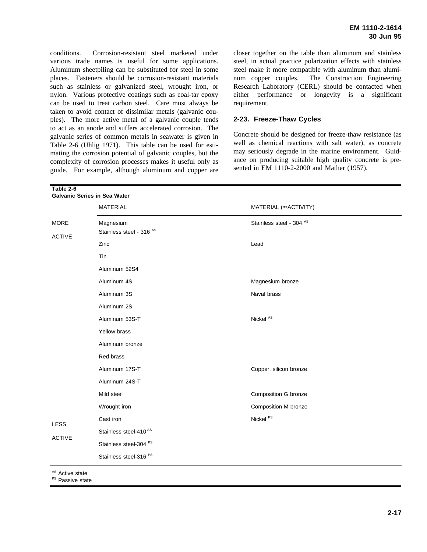conditions. Corrosion-resistant steel marketed under various trade names is useful for some applications. Aluminum sheetpiling can be substituted for steel in some places. Fasteners should be corrosion-resistant materials such as stainless or galvanized steel, wrought iron, or nylon. Various protective coatings such as coal-tar epoxy can be used to treat carbon steel. Care must always be taken to avoid contact of dissimilar metals (galvanic couples). The more active metal of a galvanic couple tends to act as an anode and suffers accelerated corrosion. The galvanic series of common metals in seawater is given in Table 2-6 (Uhlig 1971). This table can be used for estimating the corrosion potential of galvanic couples, but the complexity of corrosion processes makes it useful only as guide. For example, although aluminum and copper are closer together on the table than aluminum and stainless steel, in actual practice polarization effects with stainless steel make it more compatible with aluminum than aluminum copper couples. The Construction Engineering Research Laboratory (CERL) should be contacted when either performance or longevity is a significant requirement.

#### **2-23. Freeze-Thaw Cycles**

Concrete should be designed for freeze-thaw resistance (as well as chemical reactions with salt water), as concrete may seriously degrade in the marine environment. Guidance on producing suitable high quality concrete is presented in EM 1110-2-2000 and Mather (1957).

| Table 2-6<br><b>Galvanic Series in Sea Water</b> |                                       |                                |
|--------------------------------------------------|---------------------------------------|--------------------------------|
|                                                  | <b>MATERIAL</b>                       | MATERIAL ( $\approx$ ACTIVITY) |
| <b>MORE</b><br><b>ACTIVE</b>                     | Magnesium<br>Stainless steel - 316 AS | Stainless steel - 304 AS       |
|                                                  | Zinc                                  | Lead                           |
|                                                  | Tin                                   |                                |
|                                                  | Aluminum 52S4                         |                                |
|                                                  | Aluminum 4S                           | Magnesium bronze               |
|                                                  | Aluminum 3S                           | Naval brass                    |
|                                                  | Aluminum 2S                           |                                |
|                                                  | Aluminum 53S-T                        | Nickel <sup>AS</sup>           |
|                                                  | Yellow brass                          |                                |
|                                                  | Aluminum bronze                       |                                |
|                                                  | Red brass                             |                                |
|                                                  | Aluminum 17S-T                        | Copper, silicon bronze         |
|                                                  | Aluminum 24S-T                        |                                |
|                                                  | Mild steel                            | Composition G bronze           |
|                                                  | Wrought iron                          | Composition M bronze           |
| <b>LESS</b>                                      | Cast iron                             | Nickel <sup>PS</sup>           |
| <b>ACTIVE</b>                                    | Stainless steel-410 <sup>AS</sup>     |                                |
|                                                  | Stainless steel-304 PS                |                                |
|                                                  | Stainless steel-316 PS                |                                |
| $AS$ $A - B$ $A - B$                             |                                       |                                |

Active state

PS Passive state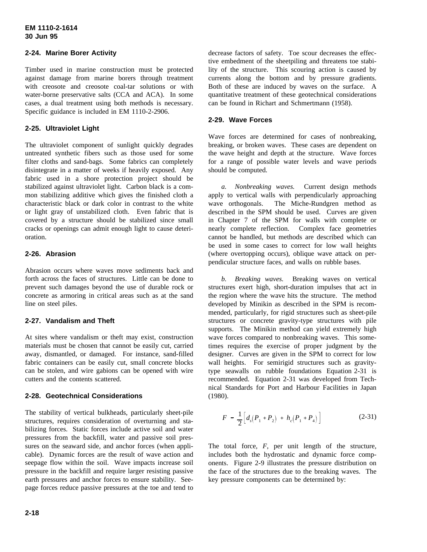#### **2-24. Marine Borer Activity**

Timber used in marine construction must be protected against damage from marine borers through treatment with creosote and creosote coal-tar solutions or with water-borne preservative salts (CCA and ACA). In some cases, a dual treatment using both methods is necessary. Specific guidance is included in EM 1110-2-2906.

#### **2-25. Ultraviolet Light**

The ultraviolet component of sunlight quickly degrades untreated synthetic fibers such as those used for some filter cloths and sand-bags. Some fabrics can completely disintegrate in a matter of weeks if heavily exposed. Any fabric used in a shore protection project should be stabilized against ultraviolet light. Carbon black is a common stabilizing additive which gives the finished cloth a characteristic black or dark color in contrast to the white or light gray of unstabilized cloth. Even fabric that is covered by a structure should be stabilized since small cracks or openings can admit enough light to cause deterioration.

#### **2-26. Abrasion**

Abrasion occurs where waves move sediments back and forth across the faces of structures. Little can be done to prevent such damages beyond the use of durable rock or concrete as armoring in critical areas such as at the sand line on steel piles.

### **2-27. Vandalism and Theft**

At sites where vandalism or theft may exist, construction materials must be chosen that cannot be easily cut, carried away, dismantled, or damaged. For instance, sand-filled fabric containers can be easily cut, small concrete blocks can be stolen, and wire gabions can be opened with wire cutters and the contents scattered.

#### **2-28. Geotechnical Considerations**

The stability of vertical bulkheads, particularly sheet-pile structures, requires consideration of overturning and stabilizing forces. Static forces include active soil and water pressures from the backfill, water and passive soil pressures on the seaward side, and anchor forces (when applicable). Dynamic forces are the result of wave action and seepage flow within the soil. Wave impacts increase soil pressure in the backfill and require larger resisting passive earth pressures and anchor forces to ensure stability. Seepage forces reduce passive pressures at the toe and tend to

decrease factors of safety. Toe scour decreases the effective embedment of the sheetpiling and threatens toe stability of the structure. This scouring action is caused by currents along the bottom and by pressure gradients. Both of these are induced by waves on the surface. A quantitative treatment of these geotechnical considerations can be found in Richart and Schmertmann (1958).

#### **2-29. Wave Forces**

Wave forces are determined for cases of nonbreaking, breaking, or broken waves. These cases are dependent on the wave height and depth at the structure. Wave forces for a range of possible water levels and wave periods should be computed.

*a. Nonbreaking waves.* Current design methods apply to vertical walls with perpendicularly approaching wave orthogonals. The Miche-Rundgren method as described in the SPM should be used. Curves are given in Chapter 7 of the SPM for walls with complete or nearly complete reflection. Complex face geometries cannot be handled, but methods are described which can be used in some cases to correct for low wall heights (where overtopping occurs), oblique wave attack on perpendicular structure faces, and walls on rubble bases.

*b. Breaking waves.* Breaking waves on vertical structures exert high, short-duration impulses that act in the region where the wave hits the structure. The method developed by Minikin as described in the SPM is recommended, particularly, for rigid structures such as sheet-pile structures or concrete gravity-type structures with pile supports. The Minikin method can yield extremely high wave forces compared to nonbreaking waves. This sometimes requires the exercise of proper judgment by the designer. Curves are given in the SPM to correct for low wall heights. For semirigid structures such as gravitytype seawalls on rubble foundations Equation 2-31 is recommended. Equation 2-31 was developed from Technical Standards for Port and Harbour Facilities in Japan (1980).

$$
F = \frac{1}{2} \Big[ d_s (P_1 + P_2) + h_c (P_1 + P_4) \Big] \tag{2-31}
$$

The total force, *F*, per unit length of the structure, includes both the hydrostatic and dynamic force components. Figure 2-9 illustrates the pressure distribution on the face of the structures due to the breaking waves. The key pressure components can be determined by: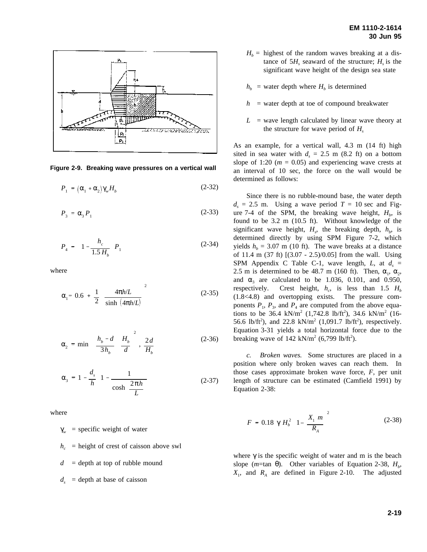

**Figure 2-9. Breaking wave pressures on a vertical wall**

$$
P_1 = (\alpha_1 + \alpha_2) \gamma_w H_b \tag{2-32}
$$

$$
P_3 = \alpha_3 P_1 \tag{2-33}
$$

$$
P_4 = \left(1 - \frac{h_c}{1.5 H_b}\right) P_1 \tag{2-34}
$$

where

$$
\alpha_1 = 0.6 + \frac{1}{2} \left[ \frac{4\pi h/L}{\sinh (4\pi h/L)} \right]^2
$$
 (2-35)

$$
\alpha_2 = \min\left[ \left( \frac{h_b - d}{3h_b} \right) \left( \frac{H_b}{d} \right)^2, \frac{2d}{H_b} \right]
$$
 (2-36)

$$
\alpha_3 = 1 - \frac{d_s}{h} \left[ 1 - \frac{1}{\cosh\left(\frac{2\pi h}{L}\right)} \right]
$$
 (2-37)

where

- $\gamma_w$  = specific weight of water
- $h_c$  = height of crest of caisson above swl
- $d =$  depth at top of rubble mound
- $d<sub>s</sub>$  = depth at base of caisson
- $H_b$  = highest of the random waves breaking at a distance of  $5H<sub>s</sub>$  seaward of the structure;  $H<sub>s</sub>$  is the significant wave height of the design sea state
- $h_h$  = water depth where  $H_h$  is determined
- $h$  = water depth at toe of compound breakwater
- $L =$  wave length calculated by linear wave theory at the structure for wave period of  $H_s$

As an example, for a vertical wall, 4.3 m (14 ft) high sited in sea water with  $d_e = 2.5$  m (8.2 ft) on a bottom slope of 1:20 ( $m = 0.05$ ) and experiencing wave crests at an interval of 10 sec, the force on the wall would be determined as follows:

Since there is no rubble-mound base, the water depth  $d<sub>s</sub> = 2.5$  m. Using a wave period  $T = 10$  sec and Figure 7-4 of the SPM, the breaking wave height,  $H<sub>b</sub>$ , is found to be 3.2 m (10.5 ft). Without knowledge of the significant wave height,  $H<sub>s</sub>$ , the breaking depth,  $h<sub>b</sub>$ , is determined directly by using SPM Figure 7-2, which yields  $h_b = 3.07$  m (10 ft). The wave breaks at a distance of 11.4 m (37 ft) [(3.07 - 2.5)/0.05] from the wall. Using SPM Appendix C Table C-1, wave length,  $L$ , at  $d_s =$ 2.5 m is determined to be 48.7 m (160 ft). Then,  $\alpha_1$ ,  $\alpha_2$ , and  $\alpha_3$  are calculated to be 1.036, 0.101, and 0.950, respectively. Crest height,  $h_c$ , is less than 1.5  $H_b$ (1.8<4.8) and overtopping exists. The pressure components  $P_1$ ,  $P_3$ , and  $P_4$  are computed from the above equations to be 36.4 kN/m<sup>2</sup> (1,742.8 lb/ft<sup>2</sup>), 34.6 kN/m<sup>2</sup> (16-56.6 lb/ft<sup>2</sup>), and 22.8 kN/m<sup>2</sup> (1,091.7 lb/ft<sup>2</sup>), respectively. Equation 3-31 yields a total horizontal force due to the breaking wave of  $142$  kN/m<sup>2</sup> (6,799 lb/ft<sup>2</sup>).

*c. Broken waves.* Some structures are placed in a position where only broken waves can reach them. In those cases approximate broken wave force, *F*, per unit length of structure can be estimated (Camfield 1991) by Equation 2-38:

$$
F = 0.18 \gamma H_b^2 \left( 1 - \frac{X_1 m}{R_A} \right)^2 \tag{2-38}
$$

where  $\gamma$  is the specific weight of water and m is the beach slope ( $m$ =tan  $\theta$ ). Other variables of Equation 2-38,  $H<sub>b</sub>$ ,  $X_1$ , and  $R_A$  are defined in Figure 2-10. The adjusted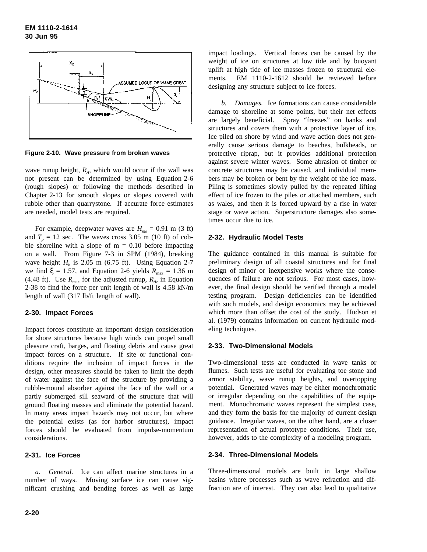

**Figure 2-10. Wave pressure from broken waves**

wave runup height,  $R_A$ , which would occur if the wall was not present can be determined by using Equation 2-6 (rough slopes) or following the methods described in Chapter 2-13 for smooth slopes or slopes covered with rubble other than quarrystone. If accurate force estimates are needed, model tests are required.

For example, deepwater waves are  $H_{mg} = 0.91$  m (3 ft) and  $T_p = 12$  sec. The waves cross 3.05 m (10 ft) of cobble shoreline with a slope of  $m = 0.10$  before impacting on a wall. From Figure 7-3 in SPM (1984), breaking wave height  $H<sub>b</sub>$  is 2.05 m (6.75 ft). Using Equation 2-7 we find  $\xi = 1.57$ , and Equation 2-6 yields  $R_{\text{max}} = 1.36$  m (4.48 ft). Use  $R_{\text{max}}$  for the adjusted runup,  $R_A$ , in Equation 2-38 to find the force per unit length of wall is 4.58 kN/m length of wall (317 lb/ft length of wall).

#### **2-30. Impact Forces**

Impact forces constitute an important design consideration for shore structures because high winds can propel small pleasure craft, barges, and floating debris and cause great impact forces on a structure. If site or functional conditions require the inclusion of impact forces in the design, other measures should be taken to limit the depth of water against the face of the structure by providing a rubble-mound absorber against the face of the wall or a partly submerged sill seaward of the structure that will ground floating masses and eliminate the potential hazard. In many areas impact hazards may not occur, but where the potential exists (as for harbor structures), impact forces should be evaluated from impulse-momentum considerations.

#### **2-31. Ice Forces**

*a. General.* Ice can affect marine structures in a number of ways. Moving surface ice can cause significant crushing and bending forces as well as large

impact loadings. Vertical forces can be caused by the weight of ice on structures at low tide and by buoyant uplift at high tide of ice masses frozen to structural elements. EM 1110-2-1612 should be reviewed before designing any structure subject to ice forces.

*b. Damages.* Ice formations can cause considerable damage to shoreline at some points, but their net effects are largely beneficial. Spray "freezes" on banks and structures and covers them with a protective layer of ice. Ice piled on shore by wind and wave action does not generally cause serious damage to beaches, bulkheads, or protective riprap, but it provides additional protection against severe winter waves. Some abrasion of timber or concrete structures may be caused, and individual members may be broken or bent by the weight of the ice mass. Piling is sometimes slowly pulled by the repeated lifting effect of ice frozen to the piles or attached members, such as wales, and then it is forced upward by a rise in water stage or wave action. Superstructure damages also sometimes occur due to ice.

#### **2-32. Hydraulic Model Tests**

The guidance contained in this manual is suitable for preliminary design of all coastal structures and for final design of minor or inexpensive works where the consequences of failure are not serious. For most cases, however, the final design should be verified through a model testing program. Design deficiencies can be identified with such models, and design economics may be achieved which more than offset the cost of the study. Hudson et al. (1979) contains information on current hydraulic modeling techniques.

#### **2-33. Two-Dimensional Models**

Two-dimensional tests are conducted in wave tanks or flumes. Such tests are useful for evaluating toe stone and armor stability, wave runup heights, and overtopping potential. Generated waves may be either monochromatic or irregular depending on the capabilities of the equipment. Monochromatic waves represent the simplest case, and they form the basis for the majority of current design guidance. Irregular waves, on the other hand, are a closer representation of actual prototype conditions. Their use, however, adds to the complexity of a modeling program.

#### **2-34. Three-Dimensional Models**

Three-dimensional models are built in large shallow basins where processes such as wave refraction and diffraction are of interest. They can also lead to qualitative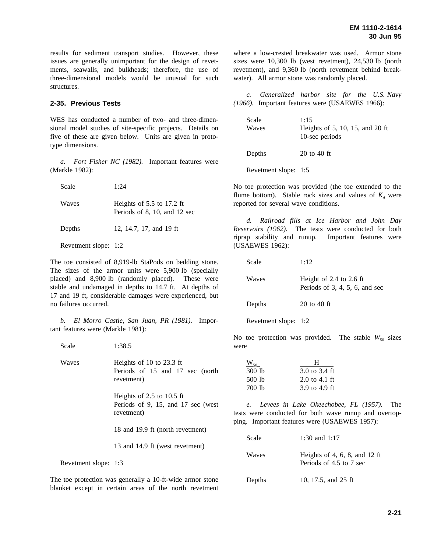results for sediment transport studies. However, these issues are generally unimportant for the design of revetments, seawalls, and bulkheads; therefore, the use of three-dimensional models would be unusual for such structures.

#### **2-35. Previous Tests**

WES has conducted a number of two- and three-dimensional model studies of site-specific projects. Details on five of these are given below. Units are given in prototype dimensions.

*a. Fort Fisher NC (1982).* Important features were (Markle 1982):

Scale 1:24

| Waves  | Heights of $5.5$ to 17.2 ft<br>Periods of 8, 10, and 12 sec |
|--------|-------------------------------------------------------------|
| Depths | 12, 14.7, 17, and 19 ft                                     |

Revetment slope: 1:2

 $S_{\text{calc}}$  1:38.5

The toe consisted of 8,919-lb StaPods on bedding stone. The sizes of the armor units were 5,900 lb (specially placed) and 8,900 lb (randomly placed). These were stable and undamaged in depths to 14.7 ft. At depths of 17 and 19 ft, considerable damages were experienced, but no failures occurred.

*b. El Morro Castle, San Juan, PR (1981).* Important features were (Markle 1981):

| weale                |                                    | wuu                  |
|----------------------|------------------------------------|----------------------|
| Waves                | Heights of 10 to $23.3 \text{ ft}$ | $\underline{W}_{50}$ |
|                      | Periods of 15 and 17 sec (north    | 300                  |
|                      | revetment)                         | 500                  |
|                      |                                    | 700                  |
|                      | Heights of $2.5$ to $10.5$ ft      |                      |
|                      | Periods of 9, 15, and 17 sec (west | e.                   |
|                      | revetment)                         | tests wer            |
|                      |                                    | ping. Im             |
|                      | 18 and 19.9 ft (north revetment)   |                      |
|                      |                                    | Scale                |
|                      | 13 and 14.9 ft (west revetment)    |                      |
|                      |                                    | Way                  |
| Revetment slope: 1:3 |                                    |                      |
|                      |                                    |                      |
|                      |                                    |                      |

The toe protection was generally a 10-ft-wide armor stone blanket except in certain areas of the north revetment where a low-crested breakwater was used. Armor stone sizes were 10,300 lb (west revetment), 24,530 lb (north revetment), and 9,360 lb (north revetment behind breakwater). All armor stone was randomly placed.

*c. Generalized harbor site for the U.S. Navy (1966).* Important features were (USAEWES 1966):

| Scale<br>Waves | 1:15<br>Heights of 5, 10, 15, and 20 ft<br>10-sec periods |
|----------------|-----------------------------------------------------------|
| Depths         | $20$ to $40$ ft                                           |

Revetment slope: 1:5

No toe protection was provided (the toe extended to the flume bottom). Stable rock sizes and values of  $K_d$  were reported for several wave conditions.

*d. Railroad fills at Ice Harbor and John Day Reservoirs (1962).* The tests were conducted for both riprap stability and runup. Important features were (USAEWES 1962):

| <b>Scale</b> | 1:12                                                             |
|--------------|------------------------------------------------------------------|
| Waves        | Height of $2.4$ to $2.6$ ft<br>Periods of $3, 4, 5, 6$ , and sec |

Depths 20 to 40 ft

Revetment slope: 1:2

No toe protection was provided. The stable  $W_{50}$  sizes were

| $W_{50}$ | н             |
|----------|---------------|
| $300$ lb | 3.0 to 3.4 ft |
| 500 lb   | 2.0 to 4.1 ft |
| 700 lb   | 3.9 to 4.9 ft |

*e. Levees in Lake Okeechobee, FL (1957).* The te conducted for both wave runup and overtopportant features were (USAEWES 1957):

| Scale  | 1:30 and 1:17                                            |
|--------|----------------------------------------------------------|
| Waves  | Heights of 4, 6, 8, and 12 ft<br>Periods of 4.5 to 7 sec |
| Depths | 10, 17.5, and 25 ft                                      |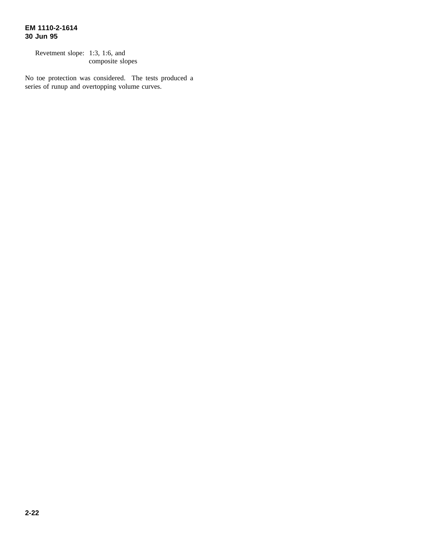Revetment slope: 1:3, 1:6, and composite slopes

No toe protection was considered. The tests produced a series of runup and overtopping volume curves.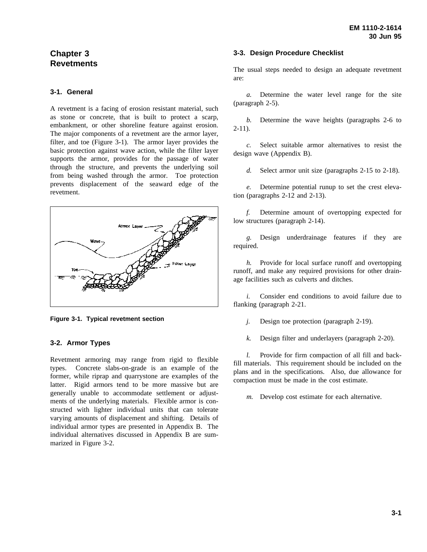# **Chapter 3 Revetments**

#### **3-1. General**

A revetment is a facing of erosion resistant material, such as stone or concrete, that is built to protect a scarp, embankment, or other shoreline feature against erosion. The major components of a revetment are the armor layer, filter, and toe (Figure 3-1). The armor layer provides the basic protection against wave action, while the filter layer supports the armor, provides for the passage of water through the structure, and prevents the underlying soil from being washed through the armor. Toe protection prevents displacement of the seaward edge of the revetment.



**Figure 3-1. Typical revetment section**

#### **3-2. Armor Types**

Revetment armoring may range from rigid to flexible types. Concrete slabs-on-grade is an example of the former, while riprap and quarrystone are examples of the latter. Rigid armors tend to be more massive but are generally unable to accommodate settlement or adjustments of the underlying materials. Flexible armor is constructed with lighter individual units that can tolerate varying amounts of displacement and shifting. Details of individual armor types are presented in Appendix B. The individual alternatives discussed in Appendix B are summarized in Figure 3-2.

#### **3-3. Design Procedure Checklist**

The usual steps needed to design an adequate revetment are:

*a.* Determine the water level range for the site (paragraph 2-5).

*b.* Determine the wave heights (paragraphs 2-6 to  $2-11$ ).

*c.* Select suitable armor alternatives to resist the design wave (Appendix B).

*d.* Select armor unit size (paragraphs 2-15 to 2-18).

*e.* Determine potential runup to set the crest elevation (paragraphs 2-12 and 2-13).

*f.* Determine amount of overtopping expected for low structures (paragraph 2-14).

*g.* Design underdrainage features if they are required.

*h.* Provide for local surface runoff and overtopping runoff, and make any required provisions for other drainage facilities such as culverts and ditches.

*i.* Consider end conditions to avoid failure due to flanking (paragraph 2-21.

*j.* Design toe protection (paragraph 2-19).

*k.* Design filter and underlayers (paragraph 2-20).

*l.* Provide for firm compaction of all fill and backfill materials. This requirement should be included on the plans and in the specifications. Also, due allowance for compaction must be made in the cost estimate.

*m.* Develop cost estimate for each alternative.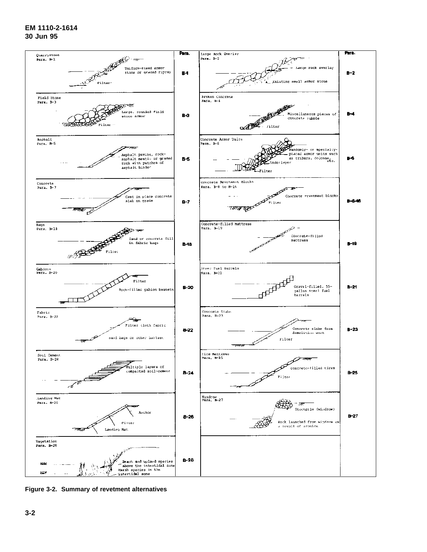# **EM 1110-2-1614 30 Jun 95**



**Figure 3-2. Summary of revetment alternatives**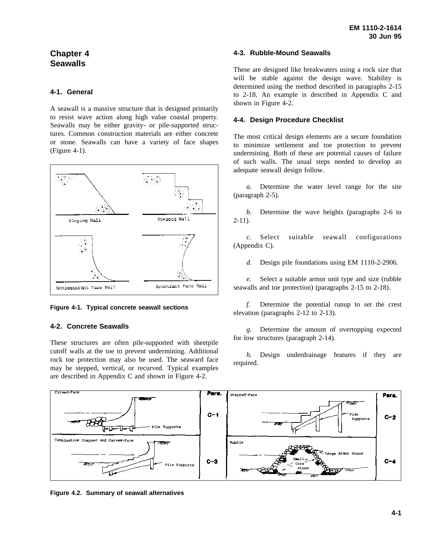# **Chapter 4 Seawalls**

#### **4-1. General**

A seawall is a massive structure that is designed primarily to resist wave action along high value coastal property. Seawalls may be either gravity- or pile-supported structures. Common construction materials are either concrete or stone. Seawalls can have a variety of face shapes (Figure 4-1).



**Figure 4-1. Typical concrete seawall sections**

#### **4-2. Concrete Seawalls**

These structures are often pile-supported with sheetpile cutoff walls at the toe to prevent undermining. Additional rock toe protection may also be used. The seaward face may be stepped, vertical, or recurved. Typical examples are described in Appendix C and shown in Figure 4-2.

#### **4-3. Rubble-Mound Seawalls**

These are designed like breakwaters using a rock size that will be stable against the design wave. Stability is determined using the method described in paragraphs 2-15 to 2-18. An example is described in Appendix C and shown in Figure 4-2.

#### **4-4. Design Procedure Checklist**

The most critical design elements are a secure foundation to minimize settlement and toe protection to prevent undermining. Both of these are potential causes of failure of such walls. The usual steps needed to develop an adequate seawall design follow.

*a.* Determine the water level range for the site (paragraph 2-5).

*b.* Determine the wave heights (paragraphs 2-6 to  $2-11$ ).

*c.* Select suitable seawall configurations (Appendix C).

*d.* Design pile foundations using EM 1110-2-2906.

*e.* Select a suitable armor unit type and size (rubble seawalls and toe protection) (paragraphs 2-15 to 2-18).

*f.* Determine the potential runup to set the crest elevation (paragraphs 2-12 to 2-13).

*g.* Determine the amount of overtopping expected for low structures (paragraph 2-14).

*h.* Design underdrainage features if they are required.



**Figure 4.2. Summary of seawall alternatives**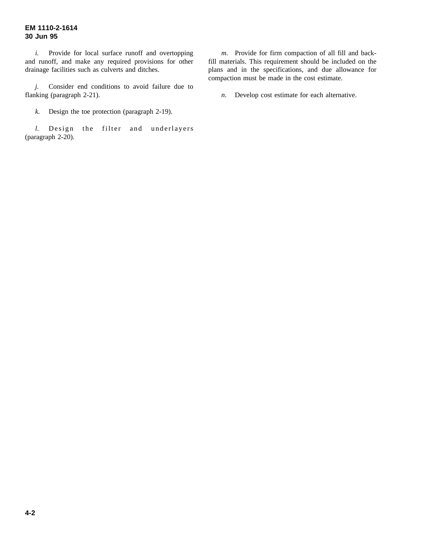*i.* Provide for local surface runoff and overtopping and runoff, and make any required provisions for other drainage facilities such as culverts and ditches.

*j.* Consider end conditions to avoid failure due to flanking (paragraph 2-21).

*k.* Design the toe protection (paragraph 2-19).

*l*. Design the filter and underlayers (paragraph 2-20).

*m*. Provide for firm compaction of all fill and backfill materials. This requirement should be included on the plans and in the specifications, and due allowance for compaction must be made in the cost estimate.

*n*. Develop cost estimate for each alternative.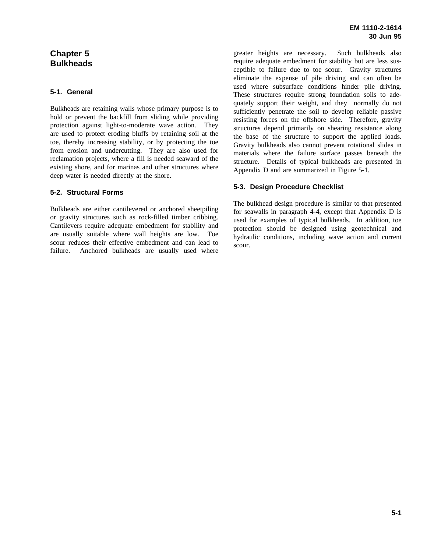# **Chapter 5 Bulkheads**

#### **5-1. General**

Bulkheads are retaining walls whose primary purpose is to hold or prevent the backfill from sliding while providing protection against light-to-moderate wave action. They are used to protect eroding bluffs by retaining soil at the toe, thereby increasing stability, or by protecting the toe from erosion and undercutting. They are also used for reclamation projects, where a fill is needed seaward of the existing shore, and for marinas and other structures where deep water is needed directly at the shore.

#### **5-2. Structural Forms**

Bulkheads are either cantilevered or anchored sheetpiling or gravity structures such as rock-filled timber cribbing. Cantilevers require adequate embedment for stability and are usually suitable where wall heights are low. Toe scour reduces their effective embedment and can lead to failure. Anchored bulkheads are usually used where greater heights are necessary. Such bulkheads also require adequate embedment for stability but are less susceptible to failure due to toe scour. Gravity structures eliminate the expense of pile driving and can often be used where subsurface conditions hinder pile driving. These structures require strong foundation soils to adequately support their weight, and they normally do not sufficiently penetrate the soil to develop reliable passive resisting forces on the offshore side. Therefore, gravity structures depend primarily on shearing resistance along the base of the structure to support the applied loads. Gravity bulkheads also cannot prevent rotational slides in materials where the failure surface passes beneath the structure. Details of typical bulkheads are presented in Appendix D and are summarized in Figure 5-1.

#### **5-3. Design Procedure Checklist**

The bulkhead design procedure is similar to that presented for seawalls in paragraph 4-4, except that Appendix D is used for examples of typical bulkheads. In addition, toe protection should be designed using geotechnical and hydraulic conditions, including wave action and current scour.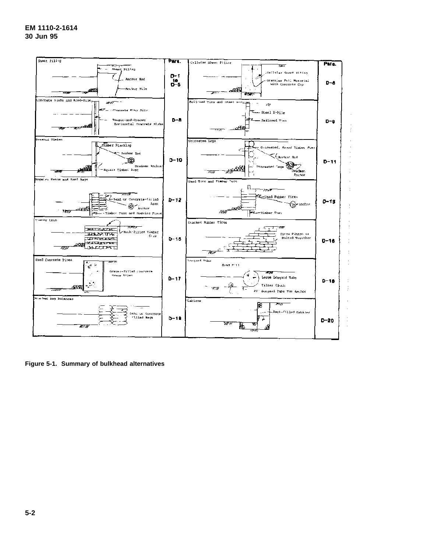

**Figure 5-1. Summary of bulkhead alternatives**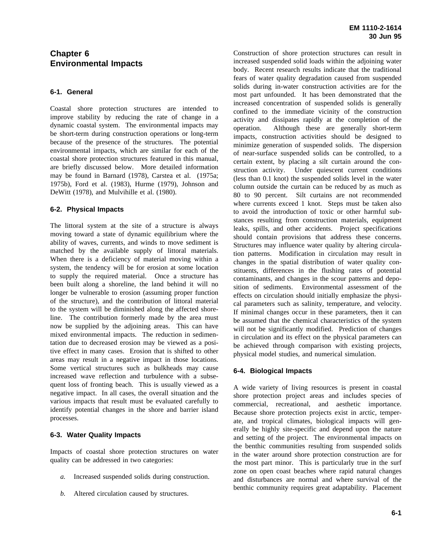# **Chapter 6 Environmental Impacts**

#### **6-1. General**

Coastal shore protection structures are intended to improve stability by reducing the rate of change in a dynamic coastal system. The environmental impacts may be short-term during construction operations or long-term because of the presence of the structures. The potential environmental impacts, which are similar for each of the coastal shore protection structures featured in this manual, are briefly discussed below. More detailed information may be found in Barnard (1978), Carstea et al. (1975a; 1975b), Ford et al. (1983), Hurme (1979), Johnson and DeWitt (1978), and Mulvihille et al. (1980).

#### **6-2. Physical Impacts**

The littoral system at the site of a structure is always moving toward a state of dynamic equilibrium where the ability of waves, currents, and winds to move sediment is matched by the available supply of littoral materials. When there is a deficiency of material moving within a system, the tendency will be for erosion at some location to supply the required material. Once a structure has been built along a shoreline, the land behind it will no longer be vulnerable to erosion (assuming proper function of the structure), and the contribution of littoral material to the system will be diminished along the affected shoreline. The contribution formerly made by the area must now be supplied by the adjoining areas. This can have mixed environmental impacts. The reduction in sedimentation due to decreased erosion may be viewed as a positive effect in many cases. Erosion that is shifted to other areas may result in a negative impact in those locations. Some vertical structures such as bulkheads may cause increased wave reflection and turbulence with a subsequent loss of fronting beach. This is usually viewed as a negative impact. In all cases, the overall situation and the various impacts that result must be evaluated carefully to identify potential changes in the shore and barrier island processes.

### **6-3. Water Quality Impacts**

Impacts of coastal shore protection structures on water quality can be addressed in two categories:

- *a.* Increased suspended solids during construction.
- *b.* Altered circulation caused by structures.

Construction of shore protection structures can result in increased suspended solid loads within the adjoining water body. Recent research results indicate that the traditional fears of water quality degradation caused from suspended solids during in-water construction activities are for the most part unfounded. It has been demonstrated that the increased concentration of suspended solids is generally confined to the immediate vicinity of the construction activity and dissipates rapidly at the completion of the operation. Although these are generally short-term impacts, construction activities should be designed to minimize generation of suspended solids. The dispersion of near-surface suspended solids can be controlled, to a certain extent, by placing a silt curtain around the construction activity. Under quiescent current conditions (less than 0.1 knot) the suspended solids level in the water column outside the curtain can be reduced by as much as 80 to 90 percent. Silt curtains are not recommended where currents exceed 1 knot. Steps must be taken also to avoid the introduction of toxic or other harmful substances resulting from construction materials, equipment leaks, spills, and other accidents. Project specifications should contain provisions that address these concerns. Structures may influence water quality by altering circulation patterns. Modification in circulation may result in changes in the spatial distribution of water quality constituents, differences in the flushing rates of potential contaminants, and changes in the scour patterns and deposition of sediments. Environmental assessment of the effects on circulation should initially emphasize the physical parameters such as salinity, temperature, and velocity. If minimal changes occur in these parameters, then it can be assumed that the chemical characteristics of the system will not be significantly modified. Prediction of changes in circulation and its effect on the physical parameters can be achieved through comparison with existing projects, physical model studies, and numerical simulation.

#### **6-4. Biological Impacts**

A wide variety of living resources is present in coastal shore protection project areas and includes species of commercial, recreational, and aesthetic importance. Because shore protection projects exist in arctic, temperate, and tropical climates, biological impacts will generally be highly site-specific and depend upon the nature and setting of the project. The environmental impacts on the benthic communities resulting from suspended solids in the water around shore protection construction are for the most part minor. This is particularly true in the surf zone on open coast beaches where rapid natural changes and disturbances are normal and where survival of the benthic community requires great adaptability. Placement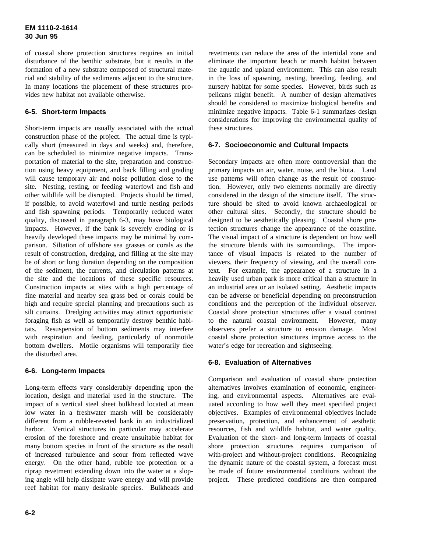of coastal shore protection structures requires an initial disturbance of the benthic substrate, but it results in the formation of a new substrate composed of structural material and stability of the sediments adjacent to the structure. In many locations the placement of these structures provides new habitat not available otherwise.

### **6-5. Short-term Impacts**

Short-term impacts are usually associated with the actual construction phase of the project. The actual time is typically short (measured in days and weeks) and, therefore, can be scheduled to minimize negative impacts. Transportation of material to the site, preparation and construction using heavy equipment, and back filling and grading will cause temporary air and noise pollution close to the site. Nesting, resting, or feeding waterfowl and fish and other wildlife will be disrupted. Projects should be timed, if possible, to avoid waterfowl and turtle nesting periods and fish spawning periods. Temporarily reduced water quality, discussed in paragraph 6-3, may have biological impacts. However, if the bank is severely eroding or is heavily developed these impacts may be minimal by comparison. Siltation of offshore sea grasses or corals as the result of construction, dredging, and filling at the site may be of short or long duration depending on the composition of the sediment, the currents, and circulation patterns at the site and the locations of these specific resources. Construction impacts at sites with a high percentage of fine material and nearby sea grass bed or corals could be high and require special planning and precautions such as silt curtains. Dredging activities may attract opportunistic foraging fish as well as temporarily destroy benthic habitats. Resuspension of bottom sediments may interfere with respiration and feeding, particularly of nonmotile bottom dwellers. Motile organisms will temporarily flee the disturbed area.

#### **6-6. Long-term Impacts**

Long-term effects vary considerably depending upon the location, design and material used in the structure. The impact of a vertical steel sheet bulkhead located at mean low water in a freshwater marsh will be considerably different from a rubble-reveted bank in an industrialized harbor. Vertical structures in particular may accelerate erosion of the foreshore and create unsuitable habitat for many bottom species in front of the structure as the result of increased turbulence and scour from reflected wave energy. On the other hand, rubble toe protection or a riprap revetment extending down into the water at a sloping angle will help dissipate wave energy and will provide reef habitat for many desirable species. Bulkheads and

revetments can reduce the area of the intertidal zone and eliminate the important beach or marsh habitat between the aquatic and upland environment. This can also result in the loss of spawning, nesting, breeding, feeding, and nursery habitat for some species. However, birds such as pelicans might benefit. A number of design alternatives should be considered to maximize biological benefits and minimize negative impacts. Table 6-1 summarizes design considerations for improving the environmental quality of these structures.

#### **6-7. Socioeconomic and Cultural Impacts**

Secondary impacts are often more controversial than the primary impacts on air, water, noise, and the biota. Land use patterns will often change as the result of construction. However, only two elements normally are directly considered in the design of the structure itself. The structure should be sited to avoid known archaeological or other cultural sites. Secondly, the structure should be designed to be aesthetically pleasing. Coastal shore protection structures change the appearance of the coastline. The visual impact of a structure is dependent on how well the structure blends with its surroundings. The importance of visual impacts is related to the number of viewers, their frequency of viewing, and the overall context. For example, the appearance of a structure in a heavily used urban park is more critical than a structure in an industrial area or an isolated setting. Aesthetic impacts can be adverse or beneficial depending on preconstruction conditions and the perception of the individual observer. Coastal shore protection structures offer a visual contrast to the natural coastal environment. However, many observers prefer a structure to erosion damage. Most coastal shore protection structures improve access to the water's edge for recreation and sightseeing.

#### **6-8. Evaluation of Alternatives**

Comparison and evaluation of coastal shore protection alternatives involves examination of economic, engineering, and environmental aspects. Alternatives are evaluated according to how well they meet specified project objectives. Examples of environmental objectives include preservation, protection, and enhancement of aesthetic resources, fish and wildlife habitat, and water quality. Evaluation of the short- and long-term impacts of coastal shore protection structures requires comparison of with-project and without-project conditions. Recognizing the dynamic nature of the coastal system, a forecast must be made of future environmental conditions without the project. These predicted conditions are then compared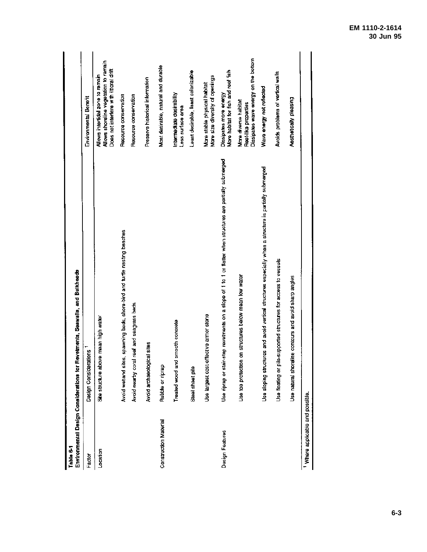| Environmental Design Considerations tor<br>Table 6-1 | Revetments, Seawalle, and Buikheads                                                                              |                                                                                                                     |
|------------------------------------------------------|------------------------------------------------------------------------------------------------------------------|---------------------------------------------------------------------------------------------------------------------|
| Factor                                               | Design Considerations                                                                                            | Environmental Benefit                                                                                               |
| Location                                             | ove mean high water<br>Site structure ab-                                                                        | Allows shoreline vegetation to remain<br>Does not interfere with littoral drift<br>Allows intertidal zone to temain |
|                                                      | Avoid wetand sites, spawning beds, shore-bird and turtle nesting beaches                                         | Resource conservation                                                                                               |
|                                                      | al reef and seagrass bects<br>Avoid nearby cor                                                                   | Resource conservation                                                                                               |
|                                                      | ical sites<br>Avoid archaeolog                                                                                   | Preserve historical information                                                                                     |
| Construction Material                                | Rubble or riprap                                                                                                 | Most desirable, natural and durable                                                                                 |
|                                                      | exporte concrete<br>Treated wood ar                                                                              | Intermediate desirability<br>Less surface area                                                                      |
|                                                      | Steel sheet pile                                                                                                 | Least desirable, least colonizable                                                                                  |
|                                                      | effective armor stone<br>Use largest cost-                                                                       | More size diversity of openings<br>More stable physical habitat                                                     |
| <b>Design Features</b>                               | ir-step revetments on a slope of 1 to 1 or flatter when structures are partially submerged<br>Use riprap or stai | More habitat for fish and reef fish<br>Dissipates more energy                                                       |
|                                                      | Use toe protection on structures below mean low water                                                            | Dissipates wave energy on the bottom<br>More diverse habitat<br>Rest-like properties                                |
|                                                      | Use sloping structures and avoid verbeal structures especially when a structure is partially submerged           | Wave energy not reflected                                                                                           |
|                                                      | le-supported structures for access to vessels-<br>Use floating or pi                                             | Avoids problems of vertical walls                                                                                   |
|                                                      | Use natural shoreline contours and avoid sharp angles                                                            | Aesthetically pleasing                                                                                              |
| Where appicable and possible.                        |                                                                                                                  |                                                                                                                     |